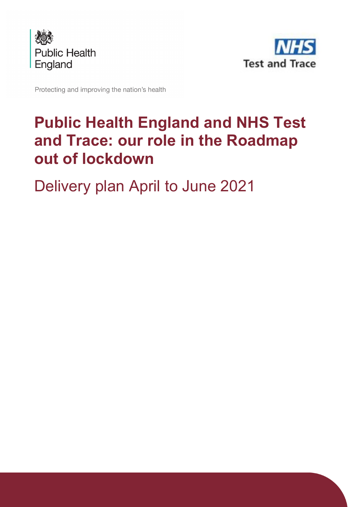



Protecting and improving the nation's health

# **Public Health England and NHS Test and Trace: our role in the Roadmap out of lockdown**

Delivery plan April to June 2021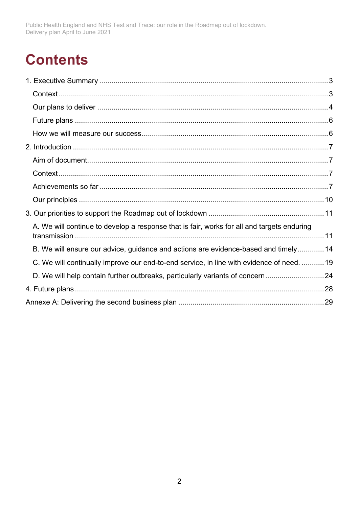# **Contents**

| A. We will continue to develop a response that is fair, works for all and targets enduring |  |
|--------------------------------------------------------------------------------------------|--|
| B. We will ensure our advice, guidance and actions are evidence-based and timely 14        |  |
| C. We will continually improve our end-to-end service, in line with evidence of need.  19  |  |
| D. We will help contain further outbreaks, particularly variants of concern24              |  |
|                                                                                            |  |
|                                                                                            |  |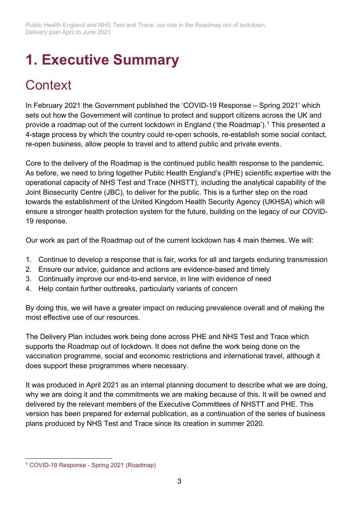# <span id="page-2-0"></span>**1. Executive Summary**

## <span id="page-2-1"></span>**Context**

In February 2021 the Government published the 'COVID-19 Response – Spring 2021' which sets out how the Government will continue to protect and support citizens across the UK and provide a roadmap out of the current lockdown in England ('the Roadmap').<sup>[1](#page-2-2)</sup> This presented a 4-stage process by which the country could re-open schools, re-establish some social contact, re-open business, allow people to travel and to attend public and private events.

Core to the delivery of the Roadmap is the continued public health response to the pandemic. As before, we need to bring together Public Health England's (PHE) scientific expertise with the operational capacity of NHS Test and Trace (NHSTT), including the analytical capability of the Joint Biosecurity Centre (JBC), to deliver for the public. This is a further step on the road towards the establishment of the United Kingdom Health Security Agency (UKHSA) which will ensure a stronger health protection system for the future, building on the legacy of our COVID-19 response.

Our work as part of the Roadmap out of the current lockdown has 4 main themes. We will:

- 1. Continue to develop a response that is fair, works for all and targets enduring transmission
- 2. Ensure our advice, guidance and actions are evidence-based and timely
- 3. Continually improve our end-to-end service, in line with evidence of need
- 4. Help contain further outbreaks, particularly variants of concern

By doing this, we will have a greater impact on reducing prevalence overall and of making the most effective use of our resources.

The Delivery Plan includes work being done across PHE and NHS Test and Trace which supports the Roadmap out of lockdown. It does not define the work being done on the vaccination programme, social and economic restrictions and international travel, although it does support these programmes where necessary.

It was produced in April 2021 as an internal planning document to describe what we are doing, why we are doing it and the commitments we are making because of this. It will be owned and delivered by the relevant members of the Executive Committees of NHSTT and PHE. This version has been prepared for external publication, as a continuation of the series of business plans produced by NHS Test and Trace since its creation in summer 2020.

<span id="page-2-2"></span><sup>1</sup> COVID-19 Response - [Spring 2021 \(Roadmap\)](https://www.gov.uk/government/publications/covid-19-response-spring-2021)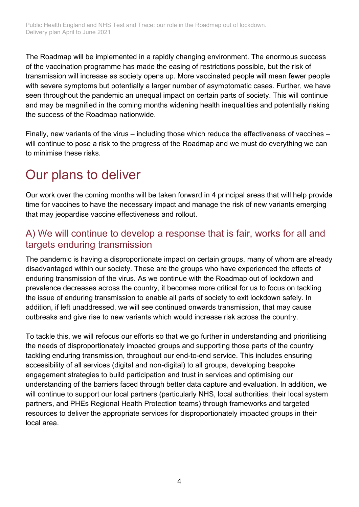The Roadmap will be implemented in a rapidly changing environment. The enormous success of the vaccination programme has made the easing of restrictions possible, but the risk of transmission will increase as society opens up. More vaccinated people will mean fewer people with severe symptoms but potentially a larger number of asymptomatic cases. Further, we have seen throughout the pandemic an unequal impact on certain parts of society. This will continue and may be magnified in the coming months widening health inequalities and potentially risking the success of the Roadmap nationwide.

Finally, new variants of the virus – including those which reduce the effectiveness of vaccines – will continue to pose a risk to the progress of the Roadmap and we must do everything we can to minimise these risks.

## <span id="page-3-0"></span>Our plans to deliver

Our work over the coming months will be taken forward in 4 principal areas that will help provide time for vaccines to have the necessary impact and manage the risk of new variants emerging that may jeopardise vaccine effectiveness and rollout.

### A) We will continue to develop a response that is fair, works for all and targets enduring transmission

The pandemic is having a disproportionate impact on certain groups, many of whom are already disadvantaged within our society. These are the groups who have experienced the effects of enduring transmission of the virus. As we continue with the Roadmap out of lockdown and prevalence decreases across the country, it becomes more critical for us to focus on tackling the issue of enduring transmission to enable all parts of society to exit lockdown safely. In addition, if left unaddressed, we will see continued onwards transmission, that may cause outbreaks and give rise to new variants which would increase risk across the country.

To tackle this, we will refocus our efforts so that we go further in understanding and prioritising the needs of disproportionately impacted groups and supporting those parts of the country tackling enduring transmission, throughout our end-to-end service. This includes ensuring accessibility of all services (digital and non-digital) to all groups, developing bespoke engagement strategies to build participation and trust in services and optimising our understanding of the barriers faced through better data capture and evaluation. In addition, we will continue to support our local partners (particularly NHS, local authorities, their local system partners, and PHEs Regional Health Protection teams) through frameworks and targeted resources to deliver the appropriate services for disproportionately impacted groups in their local area.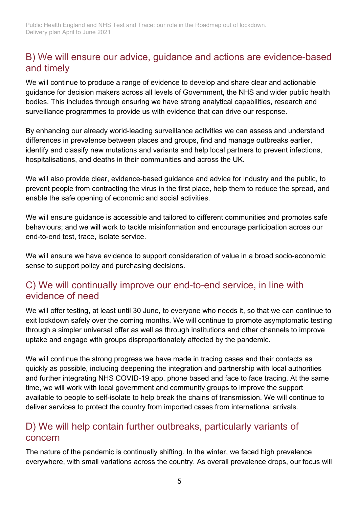### B) We will ensure our advice, guidance and actions are evidence-based and timely

We will continue to produce a range of evidence to develop and share clear and actionable guidance for decision makers across all levels of Government, the NHS and wider public health bodies. This includes through ensuring we have strong analytical capabilities, research and surveillance programmes to provide us with evidence that can drive our response.

By enhancing our already world-leading surveillance activities we can assess and understand differences in prevalence between places and groups, find and manage outbreaks earlier, identify and classify new mutations and variants and help local partners to prevent infections, hospitalisations, and deaths in their communities and across the UK.

We will also provide clear, evidence-based guidance and advice for industry and the public, to prevent people from contracting the virus in the first place, help them to reduce the spread, and enable the safe opening of economic and social activities.

We will ensure guidance is accessible and tailored to different communities and promotes safe behaviours; and we will work to tackle misinformation and encourage participation across our end-to-end test, trace, isolate service.

We will ensure we have evidence to support consideration of value in a broad socio-economic sense to support policy and purchasing decisions.

### C) We will continually improve our end-to-end service, in line with evidence of need

We will offer testing, at least until 30 June, to everyone who needs it, so that we can continue to exit lockdown safely over the coming months. We will continue to promote asymptomatic testing through a simpler universal offer as well as through institutions and other channels to improve uptake and engage with groups disproportionately affected by the pandemic.

We will continue the strong progress we have made in tracing cases and their contacts as quickly as possible, including deepening the integration and partnership with local authorities and further integrating NHS COVID-19 app, phone based and face to face tracing. At the same time, we will work with local government and community groups to improve the support available to people to self-isolate to help break the chains of transmission. We will continue to deliver services to protect the country from imported cases from international arrivals.

### D) We will help contain further outbreaks, particularly variants of concern

The nature of the pandemic is continually shifting. In the winter, we faced high prevalence everywhere, with small variations across the country. As overall prevalence drops, our focus will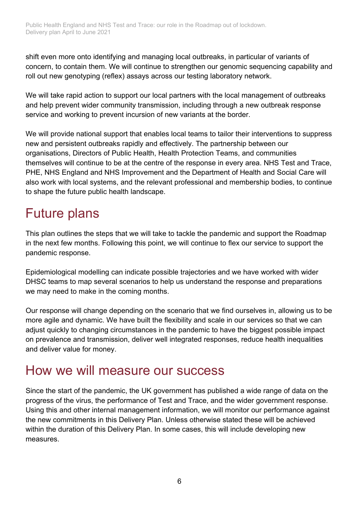shift even more onto identifying and managing local outbreaks, in particular of variants of concern, to contain them. We will continue to strengthen our genomic sequencing capability and roll out new genotyping (reflex) assays across our testing laboratory network.

We will take rapid action to support our local partners with the local management of outbreaks and help prevent wider community transmission, including through a new outbreak response service and working to prevent incursion of new variants at the border.

We will provide national support that enables local teams to tailor their interventions to suppress new and persistent outbreaks rapidly and effectively. The partnership between our organisations, Directors of Public Health, Health Protection Teams, and communities themselves will continue to be at the centre of the response in every area. NHS Test and Trace, PHE, NHS England and NHS Improvement and the Department of Health and Social Care will also work with local systems, and the relevant professional and membership bodies, to continue to shape the future public health landscape.

## <span id="page-5-0"></span>Future plans

This plan outlines the steps that we will take to tackle the pandemic and support the Roadmap in the next few months. Following this point, we will continue to flex our service to support the pandemic response.

Epidemiological modelling can indicate possible trajectories and we have worked with wider DHSC teams to map several scenarios to help us understand the response and preparations we may need to make in the coming months.

Our response will change depending on the scenario that we find ourselves in, allowing us to be more agile and dynamic. We have built the flexibility and scale in our services so that we can adjust quickly to changing circumstances in the pandemic to have the biggest possible impact on prevalence and transmission, deliver well integrated responses, reduce health inequalities and deliver value for money.

### <span id="page-5-1"></span>How we will measure our success

Since the start of the pandemic, the UK government has published a wide range of data on the progress of the virus, the performance of Test and Trace, and the wider government response. Using this and other internal management information, we will monitor our performance against the new commitments in this Delivery Plan. Unless otherwise stated these will be achieved within the duration of this Delivery Plan. In some cases, this will include developing new measures.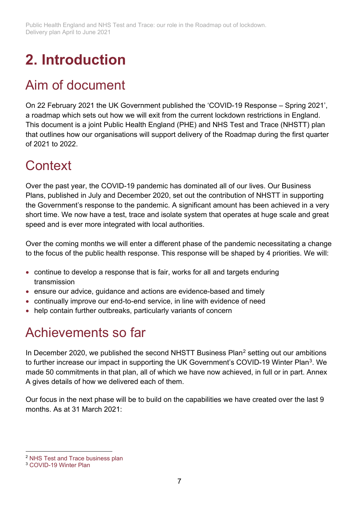# <span id="page-6-0"></span>**2. Introduction**

## <span id="page-6-1"></span>Aim of document

On 22 February 2021 the UK Government published the 'COVID-19 Response – Spring 2021', a roadmap which sets out how we will exit from the current lockdown restrictions in England. This document is a joint Public Health England (PHE) and NHS Test and Trace (NHSTT) plan that outlines how our organisations will support delivery of the Roadmap during the first quarter of 2021 to 2022.

## <span id="page-6-2"></span>**Context**

Over the past year, the COVID-19 pandemic has dominated all of our lives. Our Business Plans, published in July and December 2020, set out the contribution of NHSTT in supporting the Government's response to the pandemic. A significant amount has been achieved in a very short time. We now have a test, trace and isolate system that operates at huge scale and great speed and is ever more integrated with local authorities.

Over the coming months we will enter a different phase of the pandemic necessitating a change to the focus of the public health response. This response will be shaped by 4 priorities. We will:

- continue to develop a response that is fair, works for all and targets enduring transmission
- ensure our advice, guidance and actions are evidence-based and timely
- continually improve our end-to-end service, in line with evidence of need
- help contain further outbreaks, particularly variants of concern

## <span id="page-6-3"></span>Achievements so far

In December [2](#page-6-4)020, we published the second NHSTT Business Plan<sup>2</sup> setting out our ambitions to further increase our impact in supporting the UK Government's COVID-19 Winter Plan<sup>3</sup>. We made 50 commitments in that plan, all of which we have now achieved, in full or in part. Annex A gives details of how we delivered each of them.

Our focus in the next phase will be to build on the capabilities we have created over the last 9 months. As at 31 March 2021:

<span id="page-6-4"></span><sup>2</sup> [NHS Test and Trace business plan](https://www.gov.uk/government/publications/nhs-test-and-trace-business-plan)

<span id="page-6-5"></span><sup>3</sup> [COVID-19 Winter Plan](https://www.gov.uk/government/publications/covid-19-winter-plan)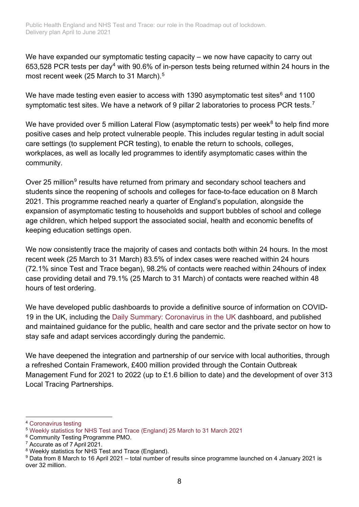We have expanded our symptomatic testing capacity – we now have capacity to carry out 653,528 PCR tests per day<sup>[4](#page-7-0)</sup> with 90.6% of in-person tests being returned within 24 hours in the most recent week (2[5](#page-7-1) March to 31 March).<sup>5</sup>

We have made testing even easier to access with 1390 asymptomatic test sites $6$  and 1100 symptomatic test sites. We have a network of 9 pillar 2 laboratories to process PCR tests.<sup>[7](#page-7-3)</sup>

We have provided over 5 million Lateral Flow (asymptomatic tests) per week<sup>[8](#page-7-4)</sup> to help find more positive cases and help protect vulnerable people. This includes regular testing in adult social care settings (to supplement PCR testing), to enable the return to schools, colleges, workplaces, as well as locally led programmes to identify asymptomatic cases within the community.

Over 25 million<sup>[9](#page-7-5)</sup> results have returned from primary and secondary school teachers and students since the reopening of schools and colleges for face-to-face education on 8 March 2021. This programme reached nearly a quarter of England's population, alongside the expansion of asymptomatic testing to households and support bubbles of school and college age children, which helped support the associated social, health and economic benefits of keeping education settings open.

We now consistently trace the majority of cases and contacts both within 24 hours. In the most recent week (25 March to 31 March) 83.5% of index cases were reached within 24 hours (72.1% since Test and Trace began), 98.2% of contacts were reached within 24hours of index case providing detail and 79.1% (25 March to 31 March) of contacts were reached within 48 hours of test ordering.

We have developed public dashboards to provide a definitive source of information on COVID-19 in the UK, including the [Daily Summary: Coronavirus in the UK](https://coronavirus.data.gov.uk/details/testing) dashboard, and published and maintained guidance for the public, health and care sector and the private sector on how to stay safe and adapt services accordingly during the pandemic.

We have deepened the integration and partnership of our service with local authorities, through a refreshed Contain Framework, £400 million provided through the Contain Outbreak Management Fund for 2021 to 2022 (up to £1.6 billion to date) and the development of over 313 Local Tracing Partnerships.

<span id="page-7-0"></span><sup>4</sup> [Coronavirus testing](https://coronavirus.data.gov.uk/details/testing)

<span id="page-7-1"></span><sup>5</sup> [Weekly statistics for NHS Test and Trace \(England\) 25 March to 31 March 2021](http://www.gov.uk/government/publications/weekly-statistics-for-nhs-test-and-trace-england-25-march-%20to-31-march-2021)

<span id="page-7-2"></span><sup>6</sup> Community Testing Programme PMO.

<span id="page-7-3"></span><sup>7</sup> Accurate as of 7 April 2021.

<span id="page-7-4"></span><sup>8</sup> Weekly statistics for NHS Test and Trace (England).

<span id="page-7-5"></span><sup>9</sup> Data from 8 March to 16 April 2021 – total number of results since programme launched on 4 January 2021 is over 32 million.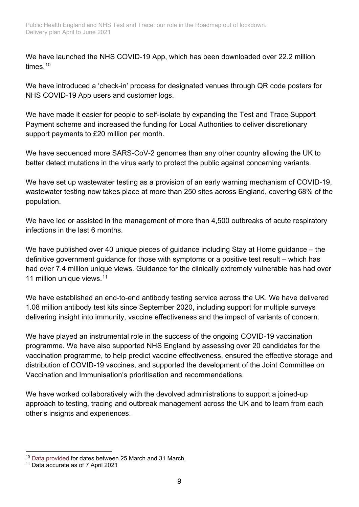We have launched the NHS COVID-19 App, which has been downloaded over 22.2 million times. [10](#page-8-0)

We have introduced a 'check-in' process for designated venues through QR code posters for NHS COVID-19 App users and customer logs.

We have made it easier for people to self-isolate by expanding the Test and Trace Support Payment scheme and increased the funding for Local Authorities to deliver discretionary support payments to £20 million per month.

We have sequenced more SARS-CoV-2 genomes than any other country allowing the UK to better detect mutations in the virus early to protect the public against concerning variants.

We have set up wastewater testing as a provision of an early warning mechanism of COVID-19, wastewater testing now takes place at more than 250 sites across England, covering 68% of the population.

We have led or assisted in the management of more than 4,500 outbreaks of acute respiratory infections in the last 6 months.

We have published over 40 unique pieces of guidance including Stay at Home guidance – the definitive government guidance for those with symptoms or a positive test result – which has had over 7.4 million unique views. Guidance for the clinically extremely vulnerable has had over [11](#page-8-1) million unique views.<sup>11</sup>

We have established an end-to-end antibody testing service across the UK. We have delivered 1.08 million antibody test kits since September 2020, including support for multiple surveys delivering insight into immunity, vaccine effectiveness and the impact of variants of concern.

We have played an instrumental role in the success of the ongoing COVID-19 vaccination programme. We have also supported NHS England by assessing over 20 candidates for the vaccination programme, to help predict vaccine effectiveness, ensured the effective storage and distribution of COVID-19 vaccines, and supported the development of the Joint Committee on Vaccination and Immunisation's prioritisation and recommendations.

We have worked collaboratively with the devolved administrations to support a joined-up approach to testing, tracing and outbreak management across the UK and to learn from each other's insights and experiences.

<span id="page-8-0"></span><sup>10</sup> [Data provided](https://faq.covid19.nhs.uk/article/KA-01367/en-us) for dates between 25 March and 31 March.

<span id="page-8-1"></span><sup>11</sup> Data accurate as of 7 April 2021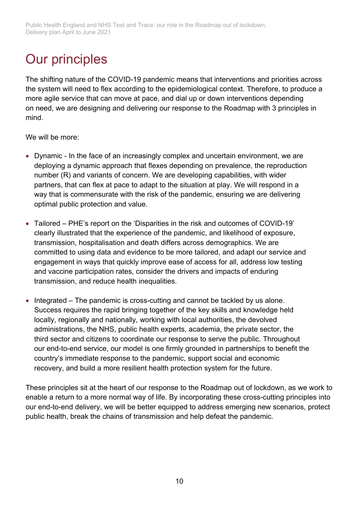## <span id="page-9-0"></span>Our principles

The shifting nature of the COVID-19 pandemic means that interventions and priorities across the system will need to flex according to the epidemiological context. Therefore, to produce a more agile service that can move at pace, and dial up or down interventions depending on need, we are designing and delivering our response to the Roadmap with 3 principles in mind.

We will be more:

- Dynamic In the face of an increasingly complex and uncertain environment, we are deploying a dynamic approach that flexes depending on prevalence, the reproduction number (R) and variants of concern. We are developing capabilities, with wider partners, that can flex at pace to adapt to the situation at play. We will respond in a way that is commensurate with the risk of the pandemic, ensuring we are delivering optimal public protection and value.
- Tailored PHE's report on the 'Disparities in the risk and outcomes of COVID-19' clearly illustrated that the experience of the pandemic, and likelihood of exposure, transmission, hospitalisation and death differs across demographics. We are committed to using data and evidence to be more tailored, and adapt our service and engagement in ways that quickly improve ease of access for all, address low testing and vaccine participation rates, consider the drivers and impacts of enduring transmission, and reduce health inequalities.
- Integrated The pandemic is cross-cutting and cannot be tackled by us alone. Success requires the rapid bringing together of the key skills and knowledge held locally, regionally and nationally, working with local authorities, the devolved administrations, the NHS, public health experts, academia, the private sector, the third sector and citizens to coordinate our response to serve the public. Throughout our end-to-end service, our model is one firmly grounded in partnerships to benefit the country's immediate response to the pandemic, support social and economic recovery, and build a more resilient health protection system for the future.

These principles sit at the heart of our response to the Roadmap out of lockdown, as we work to enable a return to a more normal way of life. By incorporating these cross-cutting principles into our end-to-end delivery, we will be better equipped to address emerging new scenarios, protect public health, break the chains of transmission and help defeat the pandemic.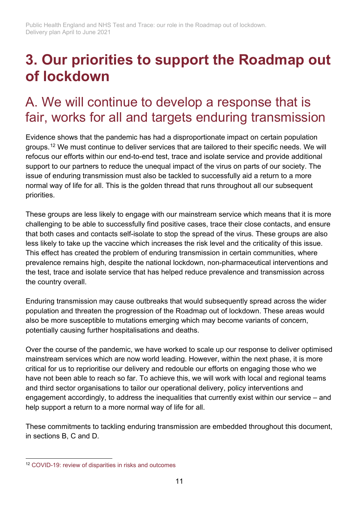## <span id="page-10-0"></span>**3. Our priorities to support the Roadmap out of lockdown**

## <span id="page-10-1"></span>A. We will continue to develop a response that is fair, works for all and targets enduring transmission

Evidence shows that the pandemic has had a disproportionate impact on certain population groups.[12](#page-10-2) We must continue to deliver services that are tailored to their specific needs. We will refocus our efforts within our end-to-end test, trace and isolate service and provide additional support to our partners to reduce the unequal impact of the virus on parts of our society. The issue of enduring transmission must also be tackled to successfully aid a return to a more normal way of life for all. This is the golden thread that runs throughout all our subsequent priorities.

These groups are less likely to engage with our mainstream service which means that it is more challenging to be able to successfully find positive cases, trace their close contacts, and ensure that both cases and contacts self-isolate to stop the spread of the virus. These groups are also less likely to take up the vaccine which increases the risk level and the criticality of this issue. This effect has created the problem of enduring transmission in certain communities, where prevalence remains high, despite the national lockdown, non-pharmaceutical interventions and the test, trace and isolate service that has helped reduce prevalence and transmission across the country overall.

Enduring transmission may cause outbreaks that would subsequently spread across the wider population and threaten the progression of the Roadmap out of lockdown. These areas would also be more susceptible to mutations emerging which may become variants of concern, potentially causing further hospitalisations and deaths.

Over the course of the pandemic, we have worked to scale up our response to deliver optimised mainstream services which are now world leading. However, within the next phase, it is more critical for us to reprioritise our delivery and redouble our efforts on engaging those who we have not been able to reach so far. To achieve this, we will work with local and regional teams and third sector organisations to tailor our operational delivery, policy interventions and engagement accordingly, to address the inequalities that currently exist within our service – and help support a return to a more normal way of life for all.

These commitments to tackling enduring transmission are embedded throughout this document, in sections B, C and D.

<span id="page-10-2"></span><sup>12</sup> [COVID-19: review of disparities in risks and outcomes](https://www.gov.uk/government/publications/covid-19-review-of-disparities-in-risks-and-outcomes)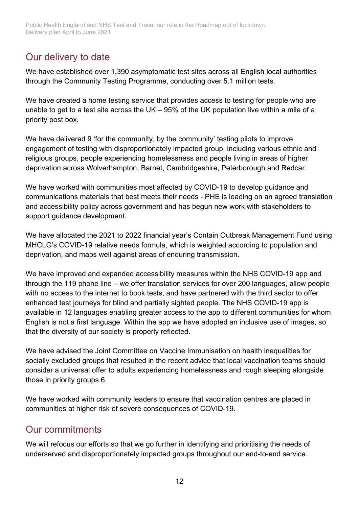### Our delivery to date

We have established over 1,390 asymptomatic test sites across all English local authorities through the Community Testing Programme, conducting over 5.1 million tests.

We have created a home testing service that provides access to testing for people who are unable to get to a test site across the UK – 95% of the UK population live within a mile of a priority post box.

We have delivered 9 'for the community, by the community' testing pilots to improve engagement of testing with disproportionately impacted group, including various ethnic and religious groups, people experiencing homelessness and people living in areas of higher deprivation across Wolverhampton, Barnet, Cambridgeshire, Peterborough and Redcar.

We have worked with communities most affected by COVID-19 to develop guidance and communications materials that best meets their needs - PHE is leading on an agreed translation and accessibility policy across government and has begun new work with stakeholders to support guidance development.

We have allocated the 2021 to 2022 financial year's Contain Outbreak Management Fund using MHCLG's COVID-19 relative needs formula, which is weighted according to population and deprivation, and maps well against areas of enduring transmission.

We have improved and expanded accessibility measures within the NHS COVID-19 app and through the 119 phone line – we offer translation services for over 200 languages, allow people with no access to the internet to book tests, and have partnered with the third sector to offer enhanced test journeys for blind and partially sighted people. The NHS COVID-19 app is available in 12 languages enabling greater access to the app to different communities for whom English is not a first language. Within the app we have adopted an inclusive use of images, so that the diversity of our society is properly reflected.

We have advised the Joint Committee on Vaccine Immunisation on health inequalities for socially excluded groups that resulted in the recent advice that local vaccination teams should consider a universal offer to adults experiencing homelessness and rough sleeping alongside those in priority groups 6.

We have worked with community leaders to ensure that vaccination centres are placed in communities at higher risk of severe consequences of COVID-19.

### Our commitments

We will refocus our efforts so that we go further in identifying and prioritising the needs of underserved and disproportionately impacted groups throughout our end-to-end service.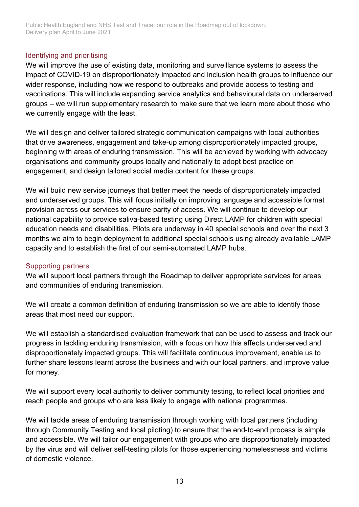#### Identifying and prioritising

We will improve the use of existing data, monitoring and surveillance systems to assess the impact of COVID-19 on disproportionately impacted and inclusion health groups to influence our wider response, including how we respond to outbreaks and provide access to testing and vaccinations. This will include expanding service analytics and behavioural data on underserved groups – we will run supplementary research to make sure that we learn more about those who we currently engage with the least.

We will design and deliver tailored strategic communication campaigns with local authorities that drive awareness, engagement and take-up among disproportionately impacted groups, beginning with areas of enduring transmission. This will be achieved by working with advocacy organisations and community groups locally and nationally to adopt best practice on engagement, and design tailored social media content for these groups.

We will build new service journeys that better meet the needs of disproportionately impacted and underserved groups. This will focus initially on improving language and accessible format provision across our services to ensure parity of access. We will continue to develop our national capability to provide saliva-based testing using Direct LAMP for children with special education needs and disabilities. Pilots are underway in 40 special schools and over the next 3 months we aim to begin deployment to additional special schools using already available LAMP capacity and to establish the first of our semi-automated LAMP hubs.

#### Supporting partners

We will support local partners through the Roadmap to deliver appropriate services for areas and communities of enduring transmission.

We will create a common definition of enduring transmission so we are able to identify those areas that most need our support.

We will establish a standardised evaluation framework that can be used to assess and track our progress in tackling enduring transmission, with a focus on how this affects underserved and disproportionately impacted groups. This will facilitate continuous improvement, enable us to further share lessons learnt across the business and with our local partners, and improve value for money.

We will support every local authority to deliver community testing, to reflect local priorities and reach people and groups who are less likely to engage with national programmes.

We will tackle areas of enduring transmission through working with local partners (including through Community Testing and local piloting) to ensure that the end-to-end process is simple and accessible. We will tailor our engagement with groups who are disproportionately impacted by the virus and will deliver self-testing pilots for those experiencing homelessness and victims of domestic violence.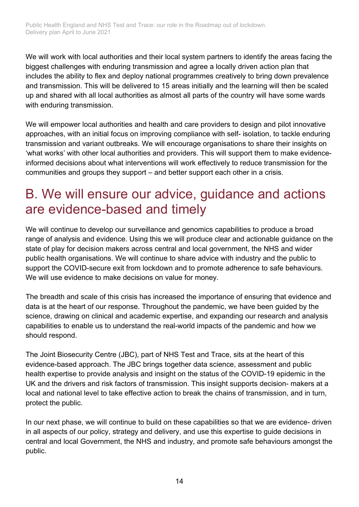We will work with local authorities and their local system partners to identify the areas facing the biggest challenges with enduring transmission and agree a locally driven action plan that includes the ability to flex and deploy national programmes creatively to bring down prevalence and transmission. This will be delivered to 15 areas initially and the learning will then be scaled up and shared with all local authorities as almost all parts of the country will have some wards with enduring transmission.

We will empower local authorities and health and care providers to design and pilot innovative approaches, with an initial focus on improving compliance with self- isolation, to tackle enduring transmission and variant outbreaks. We will encourage organisations to share their insights on 'what works' with other local authorities and providers. This will support them to make evidenceinformed decisions about what interventions will work effectively to reduce transmission for the communities and groups they support – and better support each other in a crisis.

## <span id="page-13-0"></span>B. We will ensure our advice, guidance and actions are evidence-based and timely

We will continue to develop our surveillance and genomics capabilities to produce a broad range of analysis and evidence. Using this we will produce clear and actionable guidance on the state of play for decision makers across central and local government, the NHS and wider public health organisations. We will continue to share advice with industry and the public to support the COVID-secure exit from lockdown and to promote adherence to safe behaviours. We will use evidence to make decisions on value for money.

The breadth and scale of this crisis has increased the importance of ensuring that evidence and data is at the heart of our response. Throughout the pandemic, we have been guided by the science, drawing on clinical and academic expertise, and expanding our research and analysis capabilities to enable us to understand the real-world impacts of the pandemic and how we should respond.

The Joint Biosecurity Centre (JBC), part of NHS Test and Trace, sits at the heart of this evidence-based approach. The JBC brings together data science, assessment and public health expertise to provide analysis and insight on the status of the COVID-19 epidemic in the UK and the drivers and risk factors of transmission. This insight supports decision- makers at a local and national level to take effective action to break the chains of transmission, and in turn, protect the public.

In our next phase, we will continue to build on these capabilities so that we are evidence- driven in all aspects of our policy, strategy and delivery, and use this expertise to guide decisions in central and local Government, the NHS and industry, and promote safe behaviours amongst the public.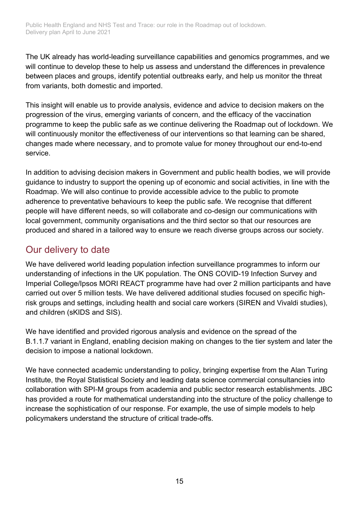The UK already has world-leading surveillance capabilities and genomics programmes, and we will continue to develop these to help us assess and understand the differences in prevalence between places and groups, identify potential outbreaks early, and help us monitor the threat from variants, both domestic and imported.

This insight will enable us to provide analysis, evidence and advice to decision makers on the progression of the virus, emerging variants of concern, and the efficacy of the vaccination programme to keep the public safe as we continue delivering the Roadmap out of lockdown. We will continuously monitor the effectiveness of our interventions so that learning can be shared, changes made where necessary, and to promote value for money throughout our end-to-end service.

In addition to advising decision makers in Government and public health bodies, we will provide guidance to industry to support the opening up of economic and social activities, in line with the Roadmap. We will also continue to provide accessible advice to the public to promote adherence to preventative behaviours to keep the public safe. We recognise that different people will have different needs, so will collaborate and co-design our communications with local government, community organisations and the third sector so that our resources are produced and shared in a tailored way to ensure we reach diverse groups across our society.

### Our delivery to date

We have delivered world leading population infection surveillance programmes to inform our understanding of infections in the UK population. The ONS COVID-19 Infection Survey and Imperial College/Ipsos MORI REACT programme have had over 2 million participants and have carried out over 5 million tests. We have delivered additional studies focused on specific highrisk groups and settings, including health and social care workers (SIREN and Vivaldi studies), and children (sKIDS and SIS).

We have identified and provided rigorous analysis and evidence on the spread of the B.1.1.7 variant in England, enabling decision making on changes to the tier system and later the decision to impose a national lockdown.

We have connected academic understanding to policy, bringing expertise from the Alan Turing Institute, the Royal Statistical Society and leading data science commercial consultancies into collaboration with SPI-M groups from academia and public sector research establishments. JBC has provided a route for mathematical understanding into the structure of the policy challenge to increase the sophistication of our response. For example, the use of simple models to help policymakers understand the structure of critical trade-offs.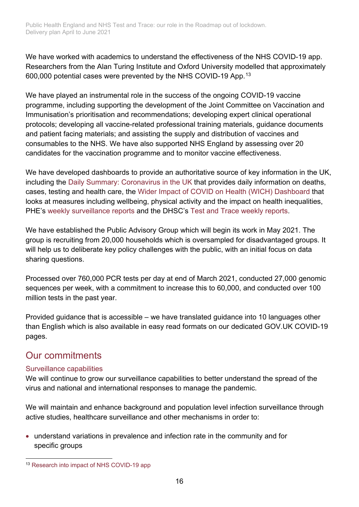We have worked with academics to understand the effectiveness of the NHS COVID-19 app. Researchers from the Alan Turing Institute and Oxford University modelled that approximately 600,000 potential cases were prevented by the NHS COVID-19 App.[13](#page-15-0)

We have played an instrumental role in the success of the ongoing COVID-19 vaccine programme, including supporting the development of the Joint Committee on Vaccination and Immunisation's prioritisation and recommendations; developing expert clinical operational protocols; developing all vaccine-related professional training materials, guidance documents and patient facing materials; and assisting the supply and distribution of vaccines and consumables to the NHS. We have also supported NHS England by assessing over 20 candidates for the vaccination programme and to monitor vaccine effectiveness.

We have developed dashboards to provide an authoritative source of key information in the UK, including the [Daily Summary: Coronavirus in the UK](https://coronavirus.data.gov.uk/details/testing) that provides daily information on deaths, cases, testing and health care, the [Wider Impact of COVID on Health \(WICH\) Dashboard](https://www.gov.uk/government/publications/wider-impacts-of-covid-19-on-health-monitoring-tool) that looks at measures including wellbeing, physical activity and the impact on health inequalities, PHE's [weekly surveillance reports](https://eur01.safelinks.protection.outlook.com/?url=https%3A%2F%2Fwww.gov.uk%2Fgovernment%2Fstatistics%2Fnational-flu-and-covid-19-surveillance-reports&data=04%7C01%7CSarah.Skerten%40phe.gov.uk%7C2a54da01b69e4c444b5708d8e78e8b32%7Cee4e14994a354b2ead475f3cf9de8666%7C0%7C0%7C637513946687053019%7CUnknown%7CTWFpbGZsb3d8eyJWIjoiMC4wLjAwMDAiLCJQIjoiV2luMzIiLCJBTiI6Ik1haWwiLCJXVCI6Mn0%3D%7C1000&sdata=yKh1hXXDBSGkmHnEkf5X6owKj8uT9ws3lrlsrtXk0tg%3D&reserved=0) and the DHSC's [Test and Trace weekly reports.](https://eur01.safelinks.protection.outlook.com/?url=https%3A%2F%2Fwww.gov.uk%2Fgovernment%2Fcollections%2Fnhs-test-and-trace-statistics-england-weekly-reports&data=04%7C01%7CSarah.Skerten%40phe.gov.uk%7C2a54da01b69e4c444b5708d8e78e8b32%7Cee4e14994a354b2ead475f3cf9de8666%7C0%7C0%7C637513946687053019%7CUnknown%7CTWFpbGZsb3d8eyJWIjoiMC4wLjAwMDAiLCJQIjoiV2luMzIiLCJBTiI6Ik1haWwiLCJXVCI6Mn0%3D%7C1000&sdata=iqZM%2BnP8e1jsH8gAJhf%2BtwxTqcn3QPlKTkuH6iI6fl4%3D&reserved=0)

We have established the Public Advisory Group which will begin its work in May 2021. The group is recruiting from 20,000 households which is oversampled for disadvantaged groups. It will help us to deliberate key policy challenges with the public, with an initial focus on data sharing questions.

Processed over 760,000 PCR tests per day at end of March 2021, conducted 27,000 genomic sequences per week, with a commitment to increase this to 60,000, and conducted over 100 million tests in the past year.

Provided guidance that is accessible – we have translated guidance into 10 languages other than English which is also available in easy read formats on our dedicated GOV.UK COVID-19 pages.

### Our commitments

#### Surveillance capabilities

We will continue to grow our surveillance capabilities to better understand the spread of the virus and national and international responses to manage the pandemic.

We will maintain and enhance background and population level infection surveillance through active studies, healthcare surveillance and other mechanisms in order to:

• understand variations in prevalence and infection rate in the community and for specific groups

<span id="page-15-0"></span><sup>13</sup> [Research into impact of NHS COVID-19 app](https://www.turing.ac.uk/news/research-impact-nhs-covid-19-app-shows-approximately-600000-cases-prevented-and-17-million)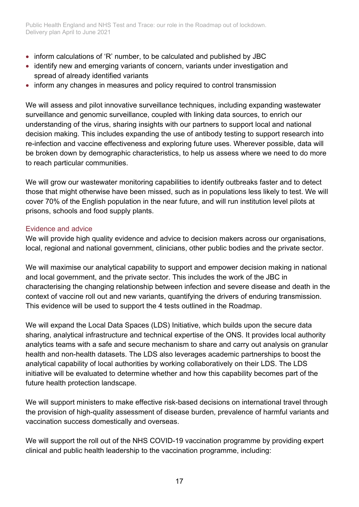- inform calculations of 'R' number, to be calculated and published by JBC
- identify new and emerging variants of concern, variants under investigation and spread of already identified variants
- inform any changes in measures and policy required to control transmission

We will assess and pilot innovative surveillance techniques, including expanding wastewater surveillance and genomic surveillance, coupled with linking data sources, to enrich our understanding of the virus, sharing insights with our partners to support local and national decision making. This includes expanding the use of antibody testing to support research into re-infection and vaccine effectiveness and exploring future uses. Wherever possible, data will be broken down by demographic characteristics, to help us assess where we need to do more to reach particular communities.

We will grow our wastewater monitoring capabilities to identify outbreaks faster and to detect those that might otherwise have been missed, such as in populations less likely to test. We will cover 70% of the English population in the near future, and will run institution level pilots at prisons, schools and food supply plants.

#### Evidence and advice

We will provide high quality evidence and advice to decision makers across our organisations, local, regional and national government, clinicians, other public bodies and the private sector.

We will maximise our analytical capability to support and empower decision making in national and local government, and the private sector. This includes the work of the JBC in characterising the changing relationship between infection and severe disease and death in the context of vaccine roll out and new variants, quantifying the drivers of enduring transmission. This evidence will be used to support the 4 tests outlined in the Roadmap.

We will expand the Local Data Spaces (LDS) Initiative, which builds upon the secure data sharing, analytical infrastructure and technical expertise of the ONS. It provides local authority analytics teams with a safe and secure mechanism to share and carry out analysis on granular health and non-health datasets. The LDS also leverages academic partnerships to boost the analytical capability of local authorities by working collaboratively on their LDS. The LDS initiative will be evaluated to determine whether and how this capability becomes part of the future health protection landscape.

We will support ministers to make effective risk-based decisions on international travel through the provision of high-quality assessment of disease burden, prevalence of harmful variants and vaccination success domestically and overseas.

We will support the roll out of the NHS COVID-19 vaccination programme by providing expert clinical and public health leadership to the vaccination programme, including: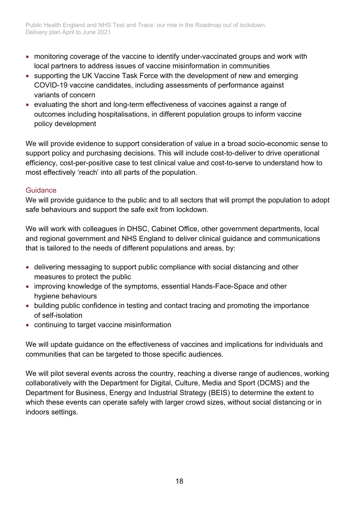- monitoring coverage of the vaccine to identify under-vaccinated groups and work with local partners to address issues of vaccine misinformation in communities
- supporting the UK Vaccine Task Force with the development of new and emerging COVID-19 vaccine candidates, including assessments of performance against variants of concern
- evaluating the short and long-term effectiveness of vaccines against a range of outcomes including hospitalisations, in different population groups to inform vaccine policy development

We will provide evidence to support consideration of value in a broad socio-economic sense to support policy and purchasing decisions. This will include cost-to-deliver to drive operational efficiency, cost-per-positive case to test clinical value and cost-to-serve to understand how to most effectively 'reach' into all parts of the population.

#### Guidance

We will provide guidance to the public and to all sectors that will prompt the population to adopt safe behaviours and support the safe exit from lockdown.

We will work with colleagues in DHSC, Cabinet Office, other government departments, local and regional government and NHS England to deliver clinical guidance and communications that is tailored to the needs of different populations and areas, by:

- delivering messaging to support public compliance with social distancing and other measures to protect the public
- improving knowledge of the symptoms, essential Hands-Face-Space and other hygiene behaviours
- building public confidence in testing and contact tracing and promoting the importance of self-isolation
- continuing to target vaccine misinformation

We will update guidance on the effectiveness of vaccines and implications for individuals and communities that can be targeted to those specific audiences.

We will pilot several events across the country, reaching a diverse range of audiences, working collaboratively with the Department for Digital, Culture, Media and Sport (DCMS) and the Department for Business, Energy and Industrial Strategy (BEIS) to determine the extent to which these events can operate safely with larger crowd sizes, without social distancing or in indoors settings.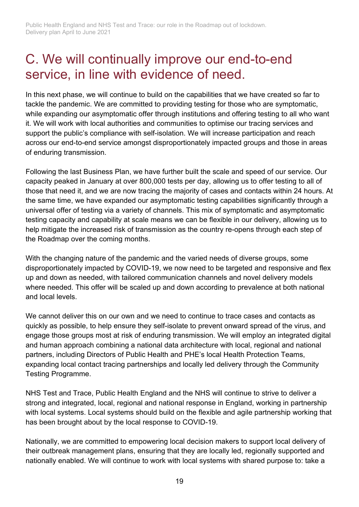## <span id="page-18-0"></span>C. We will continually improve our end-to-end service, in line with evidence of need.

In this next phase, we will continue to build on the capabilities that we have created so far to tackle the pandemic. We are committed to providing testing for those who are symptomatic, while expanding our asymptomatic offer through institutions and offering testing to all who want it. We will work with local authorities and communities to optimise our tracing services and support the public's compliance with self-isolation. We will increase participation and reach across our end-to-end service amongst disproportionately impacted groups and those in areas of enduring transmission.

Following the last Business Plan, we have further built the scale and speed of our service. Our capacity peaked in January at over 800,000 tests per day, allowing us to offer testing to all of those that need it, and we are now tracing the majority of cases and contacts within 24 hours. At the same time, we have expanded our asymptomatic testing capabilities significantly through a universal offer of testing via a variety of channels. This mix of symptomatic and asymptomatic testing capacity and capability at scale means we can be flexible in our delivery, allowing us to help mitigate the increased risk of transmission as the country re-opens through each step of the Roadmap over the coming months.

With the changing nature of the pandemic and the varied needs of diverse groups, some disproportionately impacted by COVID-19, we now need to be targeted and responsive and flex up and down as needed, with tailored communication channels and novel delivery models where needed. This offer will be scaled up and down according to prevalence at both national and local levels.

We cannot deliver this on our own and we need to continue to trace cases and contacts as quickly as possible, to help ensure they self-isolate to prevent onward spread of the virus, and engage those groups most at risk of enduring transmission. We will employ an integrated digital and human approach combining a national data architecture with local, regional and national partners, including Directors of Public Health and PHE's local Health Protection Teams, expanding local contact tracing partnerships and locally led delivery through the Community Testing Programme.

NHS Test and Trace, Public Health England and the NHS will continue to strive to deliver a strong and integrated, local, regional and national response in England, working in partnership with local systems. Local systems should build on the flexible and agile partnership working that has been brought about by the local response to COVID-19.

Nationally, we are committed to empowering local decision makers to support local delivery of their outbreak management plans, ensuring that they are locally led, regionally supported and nationally enabled. We will continue to work with local systems with shared purpose to: take a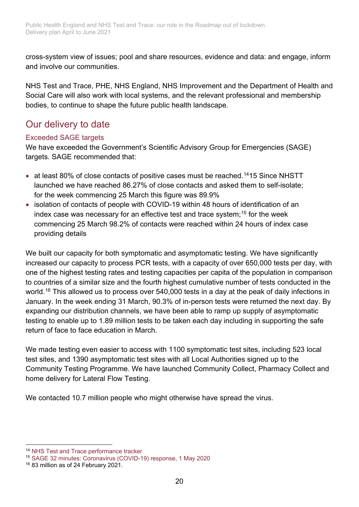cross-system view of issues; pool and share resources, evidence and data: and engage, inform and involve our communities.

NHS Test and Trace, PHE, NHS England, NHS Improvement and the Department of Health and Social Care will also work with local systems, and the relevant professional and membership bodies, to continue to shape the future public health landscape.

### Our delivery to date

#### Exceeded SAGE targets

We have exceeded the Government's Scientific Advisory Group for Emergencies (SAGE) targets. SAGE recommended that:

- at least 80% of close contacts of positive cases must be reached.<sup>[14](#page-19-0)</sup>15 Since NHSTT launched we have reached 86.27% of close contacts and asked them to self-isolate; for the week commencing 25 March this figure was 89.9%
- isolation of contacts of people with COVID-19 within 48 hours of identification of an index case was necessary for an effective test and trace system; [15](#page-19-1) for the week commencing 25 March 98.2% of contacts were reached within 24 hours of index case providing details

We built our capacity for both symptomatic and asymptomatic testing. We have significantly increased our capacity to process PCR tests, with a capacity of over 650,000 tests per day, with one of the highest testing rates and testing capacities per capita of the population in comparison to countries of a similar size and the fourth highest cumulative number of tests conducted in the world.<sup>[16](#page-19-2)</sup> This allowed us to process over 540,000 tests in a day at the peak of daily infections in January. In the week ending 31 March, 90.3% of in-person tests were returned the next day. By expanding our distribution channels, we have been able to ramp up supply of asymptomatic testing to enable up to 1.89 million tests to be taken each day including in supporting the safe return of face to face education in March.

We made testing even easier to access with 1100 symptomatic test sites, including 523 local test sites, and 1390 asymptomatic test sites with all Local Authorities signed up to the Community Testing Programme. We have launched Community Collect, Pharmacy Collect and home delivery for Lateral Flow Testing.

We contacted 10.7 million people who might otherwise have spread the virus.

<span id="page-19-0"></span><sup>14</sup> [NHS Test and Trace performance tracker](http://www.health.org.uk/news-and-comment/charts-and-infographics/nhs-test-and-trace-performance-tracker)

<span id="page-19-1"></span><sup>15</sup> [SAGE 32 minutes: Coronavirus \(COVID-19\) response, 1 May 2020](https://www.gov.uk/government/publications/sage-minutes-coronavirus-covid-19-response-1-may-2020--2)

<span id="page-19-2"></span><sup>16</sup> 83 million as of 24 February 2021.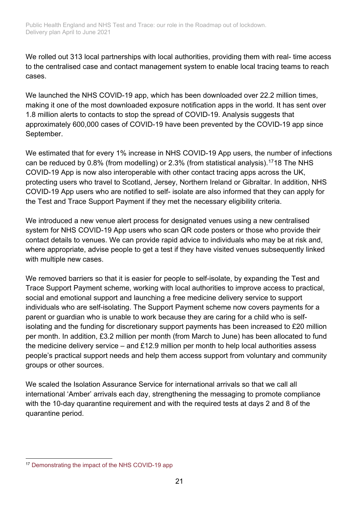We rolled out 313 local partnerships with local authorities, providing them with real- time access to the centralised case and contact management system to enable local tracing teams to reach cases.

We launched the NHS COVID-19 app, which has been downloaded over 22.2 million times, making it one of the most downloaded exposure notification apps in the world. It has sent over 1.8 million alerts to contacts to stop the spread of COVID-19. Analysis suggests that approximately 600,000 cases of COVID-19 have been prevented by the COVID-19 app since September.

We estimated that for every 1% increase in NHS COVID-19 App users, the number of infections can be reduced by 0.8% (from modelling) or 2.3% (from statistical analysis).[17](#page-20-0)18 The NHS COVID-19 App is now also interoperable with other contact tracing apps across the UK, protecting users who travel to Scotland, Jersey, Northern Ireland or Gibraltar. In addition, NHS COVID-19 App users who are notified to self- isolate are also informed that they can apply for the Test and Trace Support Payment if they met the necessary eligibility criteria.

We introduced a new venue alert process for designated venues using a new centralised system for NHS COVID-19 App users who scan QR code posters or those who provide their contact details to venues. We can provide rapid advice to individuals who may be at risk and, where appropriate, advise people to get a test if they have visited venues subsequently linked with multiple new cases.

We removed barriers so that it is easier for people to self-isolate, by expanding the Test and Trace Support Payment scheme, working with local authorities to improve access to practical, social and emotional support and launching a free medicine delivery service to support individuals who are self-isolating. The Support Payment scheme now covers payments for a parent or guardian who is unable to work because they are caring for a child who is selfisolating and the funding for discretionary support payments has been increased to £20 million per month. In addition, £3.2 million per month (from March to June) has been allocated to fund the medicine delivery service – and £12.9 million per month to help local authorities assess people's practical support needs and help them access support from voluntary and community groups or other sources.

We scaled the Isolation Assurance Service for international arrivals so that we call all international 'Amber' arrivals each day, strengthening the messaging to promote compliance with the 10-day quarantine requirement and with the required tests at days 2 and 8 of the quarantine period.

<span id="page-20-0"></span><sup>17</sup> [Demonstrating the impact of the NHS COVID-19 app](https://www.turing.ac.uk/blog/demonstrating-impact-nhs-covid-19-app)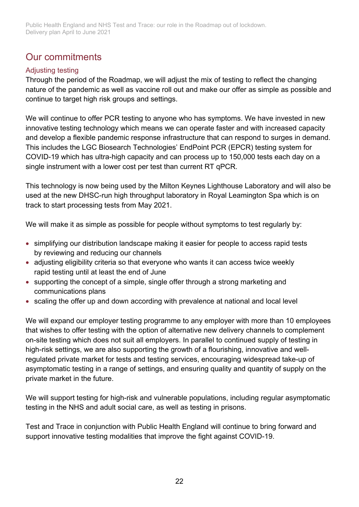### Our commitments

#### Adjusting testing

Through the period of the Roadmap, we will adjust the mix of testing to reflect the changing nature of the pandemic as well as vaccine roll out and make our offer as simple as possible and continue to target high risk groups and settings.

We will continue to offer PCR testing to anyone who has symptoms. We have invested in new innovative testing technology which means we can operate faster and with increased capacity and develop a flexible pandemic response infrastructure that can respond to surges in demand. This includes the LGC Biosearch Technologies' EndPoint PCR (EPCR) testing system for COVID-19 which has ultra-high capacity and can process up to 150,000 tests each day on a single instrument with a lower cost per test than current RT qPCR.

This technology is now being used by the Milton Keynes Lighthouse Laboratory and will also be used at the new DHSC-run high throughput laboratory in Royal Leamington Spa which is on track to start processing tests from May 2021.

We will make it as simple as possible for people without symptoms to test regularly by:

- simplifying our distribution landscape making it easier for people to access rapid tests by reviewing and reducing our channels
- adjusting eligibility criteria so that everyone who wants it can access twice weekly rapid testing until at least the end of June
- supporting the concept of a simple, single offer through a strong marketing and communications plans
- scaling the offer up and down according with prevalence at national and local level

We will expand our employer testing programme to any employer with more than 10 employees that wishes to offer testing with the option of alternative new delivery channels to complement on-site testing which does not suit all employers. In parallel to continued supply of testing in high-risk settings, we are also supporting the growth of a flourishing, innovative and wellregulated private market for tests and testing services, encouraging widespread take-up of asymptomatic testing in a range of settings, and ensuring quality and quantity of supply on the private market in the future.

We will support testing for high-risk and vulnerable populations, including regular asymptomatic testing in the NHS and adult social care, as well as testing in prisons.

Test and Trace in conjunction with Public Health England will continue to bring forward and support innovative testing modalities that improve the fight against COVID-19.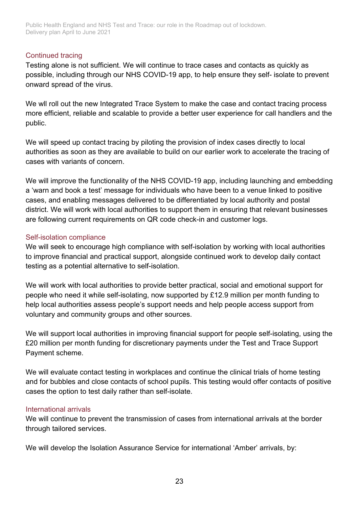#### Continued tracing

Testing alone is not sufficient. We will continue to trace cases and contacts as quickly as possible, including through our NHS COVID-19 app, to help ensure they self- isolate to prevent onward spread of the virus.

We will roll out the new Integrated Trace System to make the case and contact tracing process more efficient, reliable and scalable to provide a better user experience for call handlers and the public.

We will speed up contact tracing by piloting the provision of index cases directly to local authorities as soon as they are available to build on our earlier work to accelerate the tracing of cases with variants of concern.

We will improve the functionality of the NHS COVID-19 app, including launching and embedding a 'warn and book a test' message for individuals who have been to a venue linked to positive cases, and enabling messages delivered to be differentiated by local authority and postal district. We will work with local authorities to support them in ensuring that relevant businesses are following current requirements on QR code check-in and customer logs.

#### Self-isolation compliance

We will seek to encourage high compliance with self-isolation by working with local authorities to improve financial and practical support, alongside continued work to develop daily contact testing as a potential alternative to self-isolation.

We will work with local authorities to provide better practical, social and emotional support for people who need it while self-isolating, now supported by £12.9 million per month funding to help local authorities assess people's support needs and help people access support from voluntary and community groups and other sources.

We will support local authorities in improving financial support for people self-isolating, using the £20 million per month funding for discretionary payments under the Test and Trace Support Payment scheme.

We will evaluate contact testing in workplaces and continue the clinical trials of home testing and for bubbles and close contacts of school pupils. This testing would offer contacts of positive cases the option to test daily rather than self-isolate.

#### International arrivals

We will continue to prevent the transmission of cases from international arrivals at the border through tailored services.

We will develop the Isolation Assurance Service for international 'Amber' arrivals, by: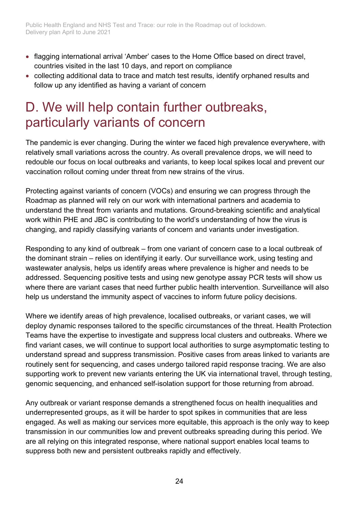- flagging international arrival 'Amber' cases to the Home Office based on direct travel, countries visited in the last 10 days, and report on compliance
- collecting additional data to trace and match test results, identify orphaned results and follow up any identified as having a variant of concern

## <span id="page-23-0"></span>D. We will help contain further outbreaks, particularly variants of concern

The pandemic is ever changing. During the winter we faced high prevalence everywhere, with relatively small variations across the country. As overall prevalence drops, we will need to redouble our focus on local outbreaks and variants, to keep local spikes local and prevent our vaccination rollout coming under threat from new strains of the virus.

Protecting against variants of concern (VOCs) and ensuring we can progress through the Roadmap as planned will rely on our work with international partners and academia to understand the threat from variants and mutations. Ground-breaking scientific and analytical work within PHE and JBC is contributing to the world's understanding of how the virus is changing, and rapidly classifying variants of concern and variants under investigation.

Responding to any kind of outbreak – from one variant of concern case to a local outbreak of the dominant strain – relies on identifying it early. Our surveillance work, using testing and wastewater analysis, helps us identify areas where prevalence is higher and needs to be addressed. Sequencing positive tests and using new genotype assay PCR tests will show us where there are variant cases that need further public health intervention. Surveillance will also help us understand the immunity aspect of vaccines to inform future policy decisions.

Where we identify areas of high prevalence, localised outbreaks, or variant cases, we will deploy dynamic responses tailored to the specific circumstances of the threat. Health Protection Teams have the expertise to investigate and suppress local clusters and outbreaks. Where we find variant cases, we will continue to support local authorities to surge asymptomatic testing to understand spread and suppress transmission. Positive cases from areas linked to variants are routinely sent for sequencing, and cases undergo tailored rapid response tracing. We are also supporting work to prevent new variants entering the UK via international travel, through testing, genomic sequencing, and enhanced self-isolation support for those returning from abroad.

Any outbreak or variant response demands a strengthened focus on health inequalities and underrepresented groups, as it will be harder to spot spikes in communities that are less engaged. As well as making our services more equitable, this approach is the only way to keep transmission in our communities low and prevent outbreaks spreading during this period. We are all relying on this integrated response, where national support enables local teams to suppress both new and persistent outbreaks rapidly and effectively.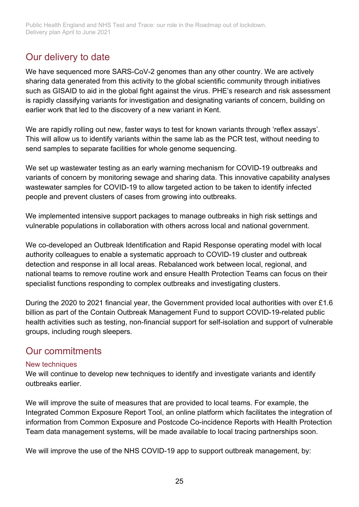### Our delivery to date

We have sequenced more SARS-CoV-2 genomes than any other country. We are actively sharing data generated from this activity to the global scientific community through initiatives such as GISAID to aid in the global fight against the virus. PHE's research and risk assessment is rapidly classifying variants for investigation and designating variants of concern, building on earlier work that led to the discovery of a new variant in Kent.

We are rapidly rolling out new, faster ways to test for known variants through 'reflex assays'. This will allow us to identify variants within the same lab as the PCR test, without needing to send samples to separate facilities for whole genome sequencing.

We set up wastewater testing as an early warning mechanism for COVID-19 outbreaks and variants of concern by monitoring sewage and sharing data. This innovative capability analyses wastewater samples for COVID-19 to allow targeted action to be taken to identify infected people and prevent clusters of cases from growing into outbreaks.

We implemented intensive support packages to manage outbreaks in high risk settings and vulnerable populations in collaboration with others across local and national government.

We co-developed an Outbreak Identification and Rapid Response operating model with local authority colleagues to enable a systematic approach to COVID-19 cluster and outbreak detection and response in all local areas. Rebalanced work between local, regional, and national teams to remove routine work and ensure Health Protection Teams can focus on their specialist functions responding to complex outbreaks and investigating clusters.

During the 2020 to 2021 financial year, the Government provided local authorities with over £1.6 billion as part of the Contain Outbreak Management Fund to support COVID-19-related public health activities such as testing, non-financial support for self-isolation and support of vulnerable groups, including rough sleepers.

### Our commitments

#### New techniques

We will continue to develop new techniques to identify and investigate variants and identify outbreaks earlier.

We will improve the suite of measures that are provided to local teams. For example, the Integrated Common Exposure Report Tool, an online platform which facilitates the integration of information from Common Exposure and Postcode Co-incidence Reports with Health Protection Team data management systems, will be made available to local tracing partnerships soon.

We will improve the use of the NHS COVID-19 app to support outbreak management, by: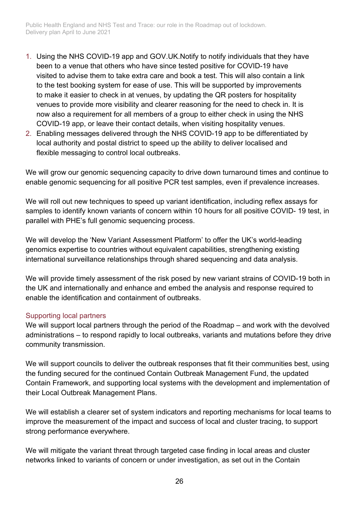- 1. Using the NHS COVID-19 app and GOV.UK.Notify to notify individuals that they have been to a venue that others who have since tested positive for COVID-19 have visited to advise them to take extra care and book a test. This will also contain a link to the test booking system for ease of use. This will be supported by improvements to make it easier to check in at venues, by updating the QR posters for hospitality venues to provide more visibility and clearer reasoning for the need to check in. It is now also a requirement for all members of a group to either check in using the NHS COVID-19 app, or leave their contact details, when visiting hospitality venues.
- 2. Enabling messages delivered through the NHS COVID-19 app to be differentiated by local authority and postal district to speed up the ability to deliver localised and flexible messaging to control local outbreaks.

We will grow our genomic sequencing capacity to drive down turnaround times and continue to enable genomic sequencing for all positive PCR test samples, even if prevalence increases.

We will roll out new techniques to speed up variant identification, including reflex assays for samples to identify known variants of concern within 10 hours for all positive COVID- 19 test, in parallel with PHE's full genomic sequencing process.

We will develop the 'New Variant Assessment Platform' to offer the UK's world-leading genomics expertise to countries without equivalent capabilities, strengthening existing international surveillance relationships through shared sequencing and data analysis.

We will provide timely assessment of the risk posed by new variant strains of COVID-19 both in the UK and internationally and enhance and embed the analysis and response required to enable the identification and containment of outbreaks.

#### Supporting local partners

We will support local partners through the period of the Roadmap – and work with the devolved administrations – to respond rapidly to local outbreaks, variants and mutations before they drive community transmission.

We will support councils to deliver the outbreak responses that fit their communities best, using the funding secured for the continued Contain Outbreak Management Fund, the updated Contain Framework, and supporting local systems with the development and implementation of their Local Outbreak Management Plans.

We will establish a clearer set of system indicators and reporting mechanisms for local teams to improve the measurement of the impact and success of local and cluster tracing, to support strong performance everywhere.

We will mitigate the variant threat through targeted case finding in local areas and cluster networks linked to variants of concern or under investigation, as set out in the Contain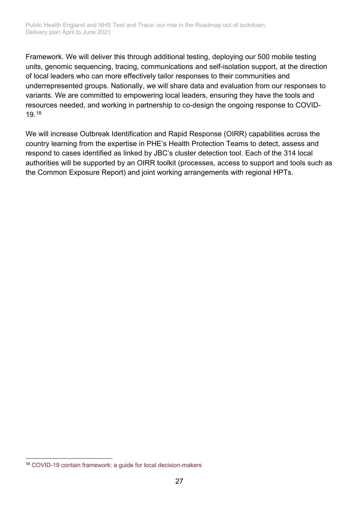Framework. We will deliver this through additional testing, deploying our 500 mobile testing units, genomic sequencing, tracing, communications and self-isolation support, at the direction of local leaders who can more effectively tailor responses to their communities and underrepresented groups. Nationally, we will share data and evaluation from our responses to variants. We are committed to empowering local leaders, ensuring they have the tools and resources needed, and working in partnership to co-design the ongoing response to COVID-19.[18](#page-26-0)

We will increase Outbreak Identification and Rapid Response (OIRR) capabilities across the country learning from the expertise in PHE's Health Protection Teams to detect, assess and respond to cases identified as linked by JBC's cluster detection tool. Each of the 314 local authorities will be supported by an OIRR toolkit (processes, access to support and tools such as the Common Exposure Report) and joint working arrangements with regional HPTs.

<span id="page-26-0"></span><sup>18</sup> [COVID-19 contain framework: a guide for local decision-makers](https://www.gov.uk/government/publications/containing-and-managing-local-coronavirus-covid-19-outbreaks/covid-19-contain-framework-a-guide-for-local-decision-makers)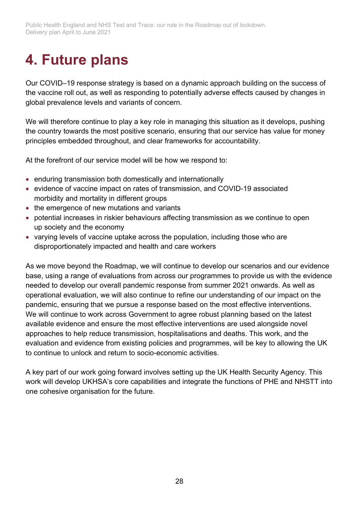# <span id="page-27-0"></span>**4. Future plans**

Our COVID–19 response strategy is based on a dynamic approach building on the success of the vaccine roll out, as well as responding to potentially adverse effects caused by changes in global prevalence levels and variants of concern.

We will therefore continue to play a key role in managing this situation as it develops, pushing the country towards the most positive scenario, ensuring that our service has value for money principles embedded throughout, and clear frameworks for accountability.

At the forefront of our service model will be how we respond to:

- enduring transmission both domestically and internationally
- evidence of vaccine impact on rates of transmission, and COVID-19 associated morbidity and mortality in different groups
- the emergence of new mutations and variants
- potential increases in riskier behaviours affecting transmission as we continue to open up society and the economy
- varying levels of vaccine uptake across the population, including those who are disproportionately impacted and health and care workers

As we move beyond the Roadmap, we will continue to develop our scenarios and our evidence base, using a range of evaluations from across our programmes to provide us with the evidence needed to develop our overall pandemic response from summer 2021 onwards. As well as operational evaluation, we will also continue to refine our understanding of our impact on the pandemic, ensuring that we pursue a response based on the most effective interventions. We will continue to work across Government to agree robust planning based on the latest available evidence and ensure the most effective interventions are used alongside novel approaches to help reduce transmission, hospitalisations and deaths. This work, and the evaluation and evidence from existing policies and programmes, will be key to allowing the UK to continue to unlock and return to socio-economic activities.

A key part of our work going forward involves setting up the UK Health Security Agency. This work will develop UKHSA's core capabilities and integrate the functions of PHE and NHSTT into one cohesive organisation for the future.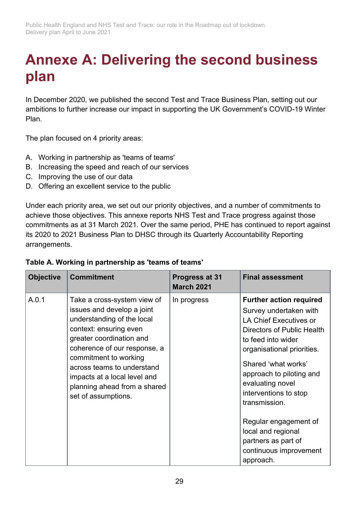# <span id="page-28-0"></span>**Annexe A: Delivering the second business plan**

In December 2020, we published the second Test and Trace Business Plan, setting out our ambitions to further increase our impact in supporting the UK Government's COVID-19 Winter Plan.

The plan focused on 4 priority areas:

- A. Working in partnership as 'teams of teams'
- B. Increasing the speed and reach of our services
- C. Improving the use of our data
- D. Offering an excellent service to the public

Under each priority area, we set out our priority objectives, and a number of commitments to achieve those objectives. This annexe reports NHS Test and Trace progress against those commitments as at 31 March 2021. Over the same period, PHE has continued to report against its 2020 to 2021 Business Plan to DHSC through its Quarterly Accountability Reporting arrangements.

| <b>Objective</b> | <b>Commitment</b>                                                                                                                                                                                                                                                                                                           | Progress at 31<br><b>March 2021</b> | <b>Final assessment</b>                                                                                                                                                                                                                                                                                                                            |
|------------------|-----------------------------------------------------------------------------------------------------------------------------------------------------------------------------------------------------------------------------------------------------------------------------------------------------------------------------|-------------------------------------|----------------------------------------------------------------------------------------------------------------------------------------------------------------------------------------------------------------------------------------------------------------------------------------------------------------------------------------------------|
| A.0.1            | Take a cross-system view of<br>issues and develop a joint<br>understanding of the local<br>context: ensuring even<br>greater coordination and<br>coherence of our response, a<br>commitment to working<br>across teams to understand<br>impacts at a local level and<br>planning ahead from a shared<br>set of assumptions. | In progress                         | <b>Further action required</b><br>Survey undertaken with<br><b>LA Chief Executives or</b><br><b>Directors of Public Health</b><br>to feed into wider<br>organisational priorities.<br>Shared 'what works'<br>approach to piloting and<br>evaluating novel<br>interventions to stop<br>transmission.<br>Regular engagement of<br>local and regional |
|                  |                                                                                                                                                                                                                                                                                                                             |                                     | partners as part of<br>continuous improvement<br>approach.                                                                                                                                                                                                                                                                                         |

#### **Table A. Working in partnership as 'teams of teams'**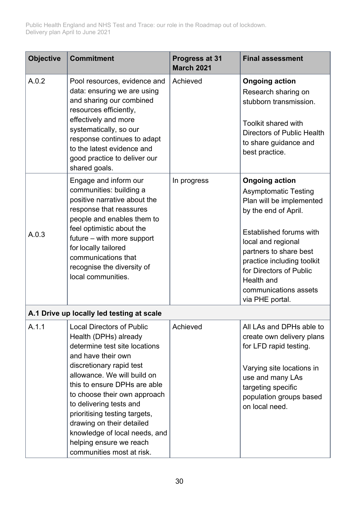| <b>Objective</b> | <b>Commitment</b>                                                                                                                                                                                                                                                                                                                                                                                                             | Progress at 31<br><b>March 2021</b> | <b>Final assessment</b>                                                                                                                                                                                                                                                                                |
|------------------|-------------------------------------------------------------------------------------------------------------------------------------------------------------------------------------------------------------------------------------------------------------------------------------------------------------------------------------------------------------------------------------------------------------------------------|-------------------------------------|--------------------------------------------------------------------------------------------------------------------------------------------------------------------------------------------------------------------------------------------------------------------------------------------------------|
| A.0.2            | Pool resources, evidence and<br>data: ensuring we are using<br>and sharing our combined<br>resources efficiently,<br>effectively and more<br>systematically, so our<br>response continues to adapt<br>to the latest evidence and<br>good practice to deliver our<br>shared goals.                                                                                                                                             | Achieved                            | <b>Ongoing action</b><br>Research sharing on<br>stubborn transmission.<br>Toolkit shared with<br>Directors of Public Health<br>to share guidance and<br>best practice.                                                                                                                                 |
| A.0.3            | Engage and inform our<br>communities: building a<br>positive narrative about the<br>response that reassures<br>people and enables them to<br>feel optimistic about the<br>$future - with more support$<br>for locally tailored<br>communications that<br>recognise the diversity of<br>local communities.                                                                                                                     | In progress                         | <b>Ongoing action</b><br><b>Asymptomatic Testing</b><br>Plan will be implemented<br>by the end of April.<br>Established forums with<br>local and regional<br>partners to share best<br>practice including toolkit<br>for Directors of Public<br>Health and<br>communications assets<br>via PHE portal. |
|                  | A.1 Drive up locally led testing at scale                                                                                                                                                                                                                                                                                                                                                                                     |                                     |                                                                                                                                                                                                                                                                                                        |
| A.1.1            | <b>Local Directors of Public</b><br>Health (DPHs) already<br>determine test site locations<br>and have their own<br>discretionary rapid test<br>allowance. We will build on<br>this to ensure DPHs are able<br>to choose their own approach<br>to delivering tests and<br>prioritising testing targets,<br>drawing on their detailed<br>knowledge of local needs, and<br>helping ensure we reach<br>communities most at risk. | Achieved                            | All LAs and DPHs able to<br>create own delivery plans<br>for LFD rapid testing.<br>Varying site locations in<br>use and many LAs<br>targeting specific<br>population groups based<br>on local need.                                                                                                    |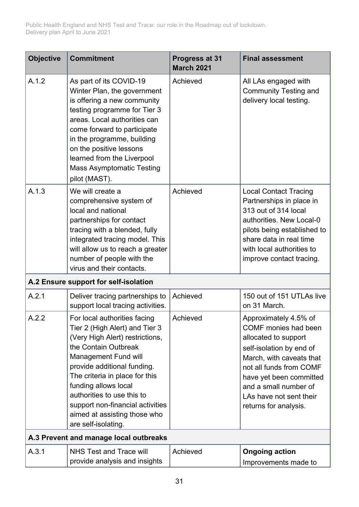| <b>Objective</b> | <b>Commitment</b>                                                                                                                                                                                                                                                                                                                                                   | Progress at 31<br><b>March 2021</b> | <b>Final assessment</b>                                                                                                                                                                                                                                                 |
|------------------|---------------------------------------------------------------------------------------------------------------------------------------------------------------------------------------------------------------------------------------------------------------------------------------------------------------------------------------------------------------------|-------------------------------------|-------------------------------------------------------------------------------------------------------------------------------------------------------------------------------------------------------------------------------------------------------------------------|
| A.1.2            | As part of its COVID-19<br>Winter Plan, the government<br>is offering a new community<br>testing programme for Tier 3<br>areas. Local authorities can<br>come forward to participate<br>in the programme, building<br>on the positive lessons<br>learned from the Liverpool<br><b>Mass Asymptomatic Testing</b><br>pilot (MAST).                                    | Achieved                            | All LAs engaged with<br><b>Community Testing and</b><br>delivery local testing.                                                                                                                                                                                         |
| A.1.3            | We will create a<br>comprehensive system of<br>local and national<br>partnerships for contact<br>tracing with a blended, fully<br>integrated tracing model. This<br>will allow us to reach a greater<br>number of people with the<br>virus and their contacts.                                                                                                      | Achieved                            | <b>Local Contact Tracing</b><br>Partnerships in place in<br>313 out of 314 local<br>authorities. New Local-0<br>pilots being established to<br>share data in real time<br>with local authorities to<br>improve contact tracing.                                         |
|                  | A.2 Ensure support for self-isolation                                                                                                                                                                                                                                                                                                                               |                                     |                                                                                                                                                                                                                                                                         |
| A.2.1            | Deliver tracing partnerships to<br>support local tracing activities.                                                                                                                                                                                                                                                                                                | Achieved                            | 150 out of 151 UTLAs live<br>on 31 March.                                                                                                                                                                                                                               |
| A.2.2            | For local authorities facing<br>Tier 2 (High Alert) and Tier 3<br>(Very High Alert) restrictions,<br>the Contain Outbreak<br>Management Fund will<br>provide additional funding.<br>The criteria in place for this<br>funding allows local<br>authorities to use this to<br>support non-financial activities<br>aimed at assisting those who<br>are self-isolating. | Achieved                            | Approximately 4.5% of<br><b>COMF</b> monies had been<br>allocated to support<br>self-isolation by end of<br>March, with caveats that<br>not all funds from COMF<br>have yet been committed<br>and a small number of<br>LAs have not sent their<br>returns for analysis. |
|                  | A.3 Prevent and manage local outbreaks                                                                                                                                                                                                                                                                                                                              |                                     |                                                                                                                                                                                                                                                                         |
| A.3.1            | <b>NHS Test and Trace will</b><br>provide analysis and insights                                                                                                                                                                                                                                                                                                     | Achieved                            | <b>Ongoing action</b><br>Improvements made to                                                                                                                                                                                                                           |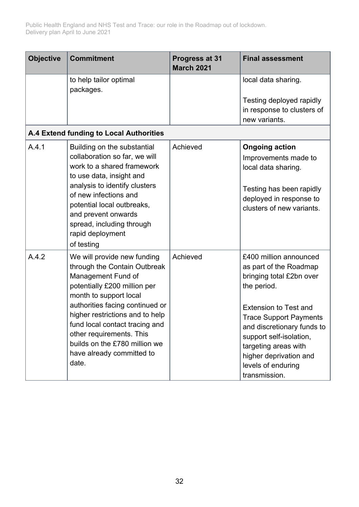| <b>Objective</b> | <b>Commitment</b>                                                                                                                                                                                                                                                                                                                                      | Progress at 31<br><b>March 2021</b> | <b>Final assessment</b>                                                                                                                                                                                                                                                                                        |
|------------------|--------------------------------------------------------------------------------------------------------------------------------------------------------------------------------------------------------------------------------------------------------------------------------------------------------------------------------------------------------|-------------------------------------|----------------------------------------------------------------------------------------------------------------------------------------------------------------------------------------------------------------------------------------------------------------------------------------------------------------|
|                  | to help tailor optimal<br>packages.                                                                                                                                                                                                                                                                                                                    |                                     | local data sharing.<br>Testing deployed rapidly<br>in response to clusters of<br>new variants.                                                                                                                                                                                                                 |
|                  | A.4 Extend funding to Local Authorities                                                                                                                                                                                                                                                                                                                |                                     |                                                                                                                                                                                                                                                                                                                |
| A.4.1            | Building on the substantial<br>collaboration so far, we will<br>work to a shared framework<br>to use data, insight and<br>analysis to identify clusters<br>of new infections and<br>potential local outbreaks,<br>and prevent onwards<br>spread, including through<br>rapid deployment<br>of testing                                                   | Achieved                            | <b>Ongoing action</b><br>Improvements made to<br>local data sharing.<br>Testing has been rapidly<br>deployed in response to<br>clusters of new variants.                                                                                                                                                       |
| A.4.2            | We will provide new funding<br>through the Contain Outbreak<br>Management Fund of<br>potentially £200 million per<br>month to support local<br>authorities facing continued or<br>higher restrictions and to help<br>fund local contact tracing and<br>other requirements. This<br>builds on the £780 million we<br>have already committed to<br>date. | Achieved                            | £400 million announced<br>as part of the Roadmap<br>bringing total £2bn over<br>the period.<br><b>Extension to Test and</b><br><b>Trace Support Payments</b><br>and discretionary funds to<br>support self-isolation,<br>targeting areas with<br>higher deprivation and<br>levels of enduring<br>transmission. |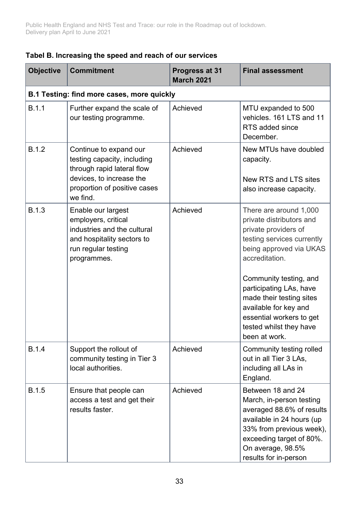| <b>Objective</b> | <b>Commitment</b>                                                                                                                                           | Progress at 31<br><b>March 2021</b> | <b>Final assessment</b>                                                                                                                                                                                                                                                                                                                 |
|------------------|-------------------------------------------------------------------------------------------------------------------------------------------------------------|-------------------------------------|-----------------------------------------------------------------------------------------------------------------------------------------------------------------------------------------------------------------------------------------------------------------------------------------------------------------------------------------|
|                  | B.1 Testing: find more cases, more quickly                                                                                                                  |                                     |                                                                                                                                                                                                                                                                                                                                         |
| B.1.1            | Further expand the scale of<br>our testing programme.                                                                                                       | Achieved                            | MTU expanded to 500<br>vehicles. 161 LTS and 11<br>RTS added since<br>December.                                                                                                                                                                                                                                                         |
| <b>B.1.2</b>     | Continue to expand our<br>testing capacity, including<br>through rapid lateral flow<br>devices, to increase the<br>proportion of positive cases<br>we find. | Achieved                            | New MTUs have doubled<br>capacity.<br>New RTS and LTS sites<br>also increase capacity.                                                                                                                                                                                                                                                  |
| <b>B.1.3</b>     | Enable our largest<br>employers, critical<br>industries and the cultural<br>and hospitality sectors to<br>run regular testing<br>programmes.                | Achieved                            | There are around 1,000<br>private distributors and<br>private providers of<br>testing services currently<br>being approved via UKAS<br>accreditation.<br>Community testing, and<br>participating LAs, have<br>made their testing sites<br>available for key and<br>essential workers to get<br>tested whilst they have<br>been at work. |
| <b>B.1.4</b>     | Support the rollout of<br>community testing in Tier 3<br>local authorities.                                                                                 | Achieved                            | Community testing rolled<br>out in all Tier 3 LAs,<br>including all LAs in<br>England.                                                                                                                                                                                                                                                  |
| <b>B.1.5</b>     | Ensure that people can<br>access a test and get their<br>results faster.                                                                                    | Achieved                            | Between 18 and 24<br>March, in-person testing<br>averaged 88.6% of results<br>available in 24 hours (up<br>33% from previous week),<br>exceeding target of 80%.<br>On average, 98.5%<br>results for in-person                                                                                                                           |

#### **Tabel B. Increasing the speed and reach of our services**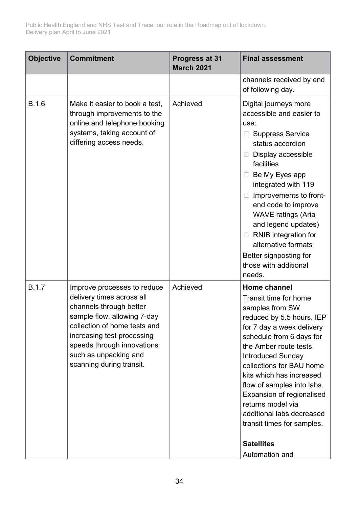| <b>Objective</b> | <b>Commitment</b>                                                                                                                                                                                                                                                   | Progress at 31<br><b>March 2021</b> | <b>Final assessment</b>                                                                                                                                                                                                                                                                                                                                                                                                                        |
|------------------|---------------------------------------------------------------------------------------------------------------------------------------------------------------------------------------------------------------------------------------------------------------------|-------------------------------------|------------------------------------------------------------------------------------------------------------------------------------------------------------------------------------------------------------------------------------------------------------------------------------------------------------------------------------------------------------------------------------------------------------------------------------------------|
|                  |                                                                                                                                                                                                                                                                     |                                     | channels received by end<br>of following day.                                                                                                                                                                                                                                                                                                                                                                                                  |
| <b>B.1.6</b>     | Make it easier to book a test.<br>through improvements to the<br>online and telephone booking<br>systems, taking account of<br>differing access needs.                                                                                                              | Achieved                            | Digital journeys more<br>accessible and easier to<br>use:<br><b>Suppress Service</b><br>status accordion<br>Display accessible<br>$\Box$<br>facilities<br>Be My Eyes app<br>$\Box$<br>integrated with 119<br>Improvements to front-<br>$\Box$<br>end code to improve<br><b>WAVE ratings (Aria</b><br>and legend updates)<br>RNIB integration for<br>$\Box$<br>alternative formats<br>Better signposting for<br>those with additional<br>needs. |
| <b>B.1.7</b>     | Improve processes to reduce<br>delivery times across all<br>channels through better<br>sample flow, allowing 7-day<br>collection of home tests and<br>increasing test processing<br>speeds through innovations<br>such as unpacking and<br>scanning during transit. | Achieved                            | <b>Home channel</b><br>Transit time for home<br>samples from SW<br>reduced by 5.5 hours. IEP<br>for 7 day a week delivery<br>schedule from 6 days for<br>the Amber route tests.<br><b>Introduced Sunday</b><br>collections for BAU home<br>kits which has increased<br>flow of samples into labs.<br><b>Expansion of regionalised</b><br>returns model via<br>additional labs decreased<br>transit times for samples.<br><b>Satellites</b>     |
|                  |                                                                                                                                                                                                                                                                     |                                     | Automation and                                                                                                                                                                                                                                                                                                                                                                                                                                 |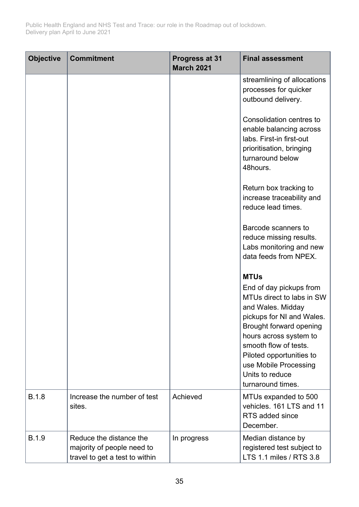| <b>Objective</b> | <b>Commitment</b>                                                                       | Progress at 31<br><b>March 2021</b> | <b>Final assessment</b>                                                                                                                                                                                                                                                                          |
|------------------|-----------------------------------------------------------------------------------------|-------------------------------------|--------------------------------------------------------------------------------------------------------------------------------------------------------------------------------------------------------------------------------------------------------------------------------------------------|
|                  |                                                                                         |                                     | streamlining of allocations<br>processes for quicker<br>outbound delivery.<br>Consolidation centres to<br>enable balancing across<br>labs. First-in first-out<br>prioritisation, bringing<br>turnaround below<br>48hours.<br>Return box tracking to                                              |
|                  |                                                                                         |                                     | increase traceability and<br>reduce lead times.<br>Barcode scanners to<br>reduce missing results.                                                                                                                                                                                                |
|                  |                                                                                         |                                     | Labs monitoring and new<br>data feeds from NPEX.                                                                                                                                                                                                                                                 |
|                  |                                                                                         |                                     | <b>MTUs</b><br>End of day pickups from<br>MTUs direct to labs in SW<br>and Wales. Midday<br>pickups for NI and Wales.<br>Brought forward opening<br>hours across system to<br>smooth flow of tests.<br>Piloted opportunities to<br>use Mobile Processing<br>Units to reduce<br>turnaround times. |
| <b>B.1.8</b>     | Increase the number of test<br>sites.                                                   | Achieved                            | MTUs expanded to 500<br>vehicles. 161 LTS and 11<br>RTS added since<br>December.                                                                                                                                                                                                                 |
| <b>B.1.9</b>     | Reduce the distance the<br>majority of people need to<br>travel to get a test to within | In progress                         | Median distance by<br>registered test subject to<br>LTS 1.1 miles / RTS 3.8                                                                                                                                                                                                                      |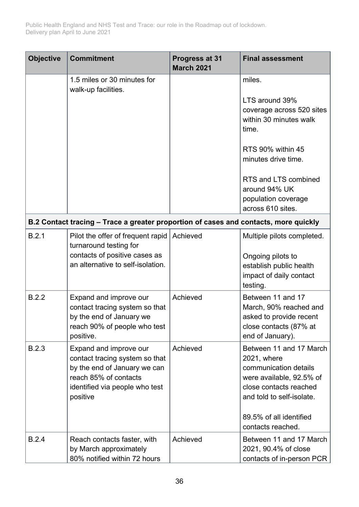| <b>Objective</b> | <b>Commitment</b>                                                                                                                                               | Progress at 31<br><b>March 2021</b> | <b>Final assessment</b>                                                                                                                                                                            |
|------------------|-----------------------------------------------------------------------------------------------------------------------------------------------------------------|-------------------------------------|----------------------------------------------------------------------------------------------------------------------------------------------------------------------------------------------------|
|                  | 1.5 miles or 30 minutes for<br>walk-up facilities.                                                                                                              |                                     | miles.                                                                                                                                                                                             |
|                  |                                                                                                                                                                 |                                     | LTS around 39%<br>coverage across 520 sites<br>within 30 minutes walk<br>time.                                                                                                                     |
|                  |                                                                                                                                                                 |                                     | RTS 90% within 45<br>minutes drive time.                                                                                                                                                           |
|                  |                                                                                                                                                                 |                                     | RTS and LTS combined<br>around 94% UK<br>population coverage<br>across 610 sites.                                                                                                                  |
|                  | B.2 Contact tracing - Trace a greater proportion of cases and contacts, more quickly                                                                            |                                     |                                                                                                                                                                                                    |
| B.2.1            | Pilot the offer of frequent rapid<br>turnaround testing for<br>contacts of positive cases as<br>an alternative to self-isolation.                               | Achieved                            | Multiple pilots completed.<br>Ongoing pilots to<br>establish public health<br>impact of daily contact<br>testing.                                                                                  |
| B.2.2            | Expand and improve our<br>contact tracing system so that<br>by the end of January we<br>reach 90% of people who test<br>positive.                               | Achieved                            | Between 11 and 17<br>March, 90% reached and<br>asked to provide recent<br>close contacts (87% at<br>end of January).                                                                               |
| <b>B.2.3</b>     | Expand and improve our<br>contact tracing system so that<br>by the end of January we can<br>reach 85% of contacts<br>identified via people who test<br>positive | Achieved                            | Between 11 and 17 March<br>2021, where<br>communication details<br>were available, 92.5% of<br>close contacts reached<br>and told to self-isolate.<br>89.5% of all identified<br>contacts reached. |
| B.2.4            | Reach contacts faster, with<br>by March approximately<br>80% notified within 72 hours                                                                           | Achieved                            | Between 11 and 17 March<br>2021, 90.4% of close<br>contacts of in-person PCR                                                                                                                       |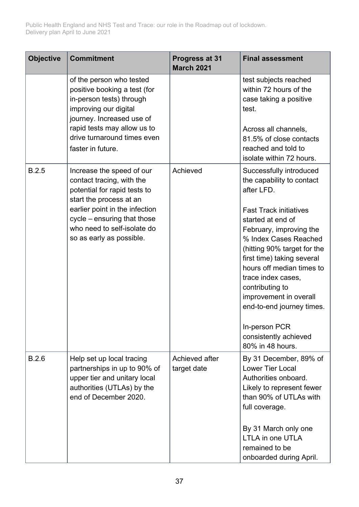| <b>Objective</b> | <b>Commitment</b>                                                                                                                                                                                                                             | Progress at 31<br><b>March 2021</b> | <b>Final assessment</b>                                                                                                                                                                                                                                                                                                                                                                                          |
|------------------|-----------------------------------------------------------------------------------------------------------------------------------------------------------------------------------------------------------------------------------------------|-------------------------------------|------------------------------------------------------------------------------------------------------------------------------------------------------------------------------------------------------------------------------------------------------------------------------------------------------------------------------------------------------------------------------------------------------------------|
|                  | of the person who tested<br>positive booking a test (for<br>in-person tests) through<br>improving our digital<br>journey. Increased use of<br>rapid tests may allow us to<br>drive turnaround times even<br>faster in future.                 |                                     | test subjects reached<br>within 72 hours of the<br>case taking a positive<br>test.<br>Across all channels,<br>81.5% of close contacts<br>reached and told to<br>isolate within 72 hours.                                                                                                                                                                                                                         |
| <b>B.2.5</b>     | Increase the speed of our<br>contact tracing, with the<br>potential for rapid tests to<br>start the process at an<br>earlier point in the infection<br>cycle – ensuring that those<br>who need to self-isolate do<br>so as early as possible. | Achieved                            | Successfully introduced<br>the capability to contact<br>after LFD.<br><b>Fast Track initiatives</b><br>started at end of<br>February, improving the<br>% Index Cases Reached<br>(hitting 90% target for the<br>first time) taking several<br>hours off median times to<br>trace index cases,<br>contributing to<br>improvement in overall<br>end-to-end journey times.<br>In-person PCR<br>consistently achieved |
|                  |                                                                                                                                                                                                                                               |                                     | 80% in 48 hours.                                                                                                                                                                                                                                                                                                                                                                                                 |
| B.2.6            | Help set up local tracing<br>partnerships in up to 90% of<br>upper tier and unitary local<br>authorities (UTLAs) by the<br>end of December 2020.                                                                                              | Achieved after<br>target date       | By 31 December, 89% of<br><b>Lower Tier Local</b><br>Authorities onboard.<br>Likely to represent fewer<br>than 90% of UTLAs with<br>full coverage.<br>By 31 March only one<br>LTLA in one UTLA<br>remained to be<br>onboarded during April.                                                                                                                                                                      |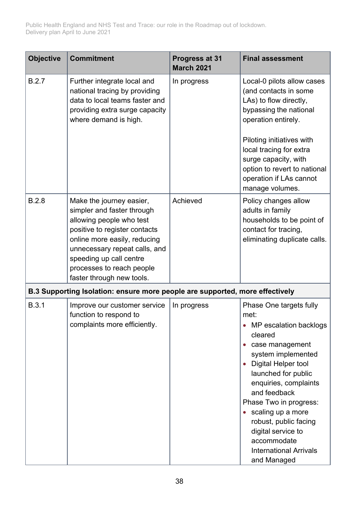| <b>Objective</b> | <b>Commitment</b>                                                                                                                                                                                                                                                         | Progress at 31<br><b>March 2021</b> | <b>Final assessment</b>                                                                                                                                                                                                                                                                                                                                           |
|------------------|---------------------------------------------------------------------------------------------------------------------------------------------------------------------------------------------------------------------------------------------------------------------------|-------------------------------------|-------------------------------------------------------------------------------------------------------------------------------------------------------------------------------------------------------------------------------------------------------------------------------------------------------------------------------------------------------------------|
| B.2.7            | Further integrate local and<br>national tracing by providing<br>data to local teams faster and<br>providing extra surge capacity<br>where demand is high.                                                                                                                 | In progress                         | Local-0 pilots allow cases<br>(and contacts in some<br>LAs) to flow directly,<br>bypassing the national<br>operation entirely.                                                                                                                                                                                                                                    |
|                  |                                                                                                                                                                                                                                                                           |                                     | Piloting initiatives with<br>local tracing for extra<br>surge capacity, with<br>option to revert to national<br>operation if LAs cannot<br>manage volumes.                                                                                                                                                                                                        |
| <b>B.2.8</b>     | Make the journey easier,<br>simpler and faster through<br>allowing people who test<br>positive to register contacts<br>online more easily, reducing<br>unnecessary repeat calls, and<br>speeding up call centre<br>processes to reach people<br>faster through new tools. | Achieved                            | Policy changes allow<br>adults in family<br>households to be point of<br>contact for tracing,<br>eliminating duplicate calls.                                                                                                                                                                                                                                     |
|                  | B.3 Supporting Isolation: ensure more people are supported, more effectively                                                                                                                                                                                              |                                     |                                                                                                                                                                                                                                                                                                                                                                   |
| <b>B.3.1</b>     | Improve our customer service<br>function to respond to<br>complaints more efficiently.                                                                                                                                                                                    | In progress                         | Phase One targets fully<br>met:<br>MP escalation backlogs<br>cleared<br>case management<br>system implemented<br>Digital Helper tool<br>launched for public<br>enquiries, complaints<br>and feedback<br>Phase Two in progress:<br>scaling up a more<br>robust, public facing<br>digital service to<br>accommodate<br><b>International Arrivals</b><br>and Managed |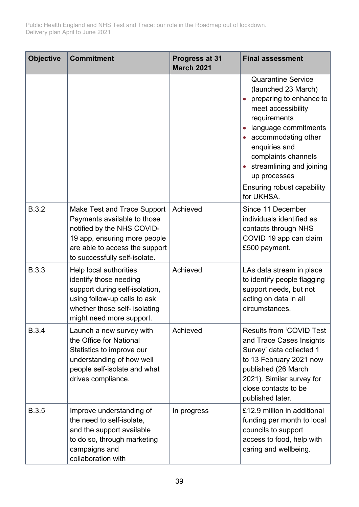| <b>Objective</b> | <b>Commitment</b>                                                                                                                                                                           | Progress at 31<br><b>March 2021</b> | <b>Final assessment</b>                                                                                                                                                                                                                                                                          |
|------------------|---------------------------------------------------------------------------------------------------------------------------------------------------------------------------------------------|-------------------------------------|--------------------------------------------------------------------------------------------------------------------------------------------------------------------------------------------------------------------------------------------------------------------------------------------------|
|                  |                                                                                                                                                                                             |                                     | <b>Quarantine Service</b><br>(launched 23 March)<br>preparing to enhance to<br>meet accessibility<br>requirements<br>language commitments<br>accommodating other<br>enquiries and<br>complaints channels<br>streamlining and joining<br>up processes<br>Ensuring robust capability<br>for UKHSA. |
| <b>B.3.2</b>     | Make Test and Trace Support<br>Payments available to those<br>notified by the NHS COVID-<br>19 app, ensuring more people<br>are able to access the support<br>to successfully self-isolate. | Achieved                            | Since 11 December<br>individuals identified as<br>contacts through NHS<br>COVID 19 app can claim<br>£500 payment.                                                                                                                                                                                |
| <b>B.3.3</b>     | Help local authorities<br>identify those needing<br>support during self-isolation,<br>using follow-up calls to ask<br>whether those self- isolating<br>might need more support.             | Achieved                            | LAs data stream in place<br>to identify people flagging<br>support needs, but not<br>acting on data in all<br>circumstances.                                                                                                                                                                     |
| <b>B.3.4</b>     | Launch a new survey with<br>the Office for National<br>Statistics to improve our<br>understanding of how well<br>people self-isolate and what<br>drives compliance.                         | Achieved                            | <b>Results from 'COVID Test</b><br>and Trace Cases Insights<br>Survey' data collected 1<br>to 13 February 2021 now<br>published (26 March<br>2021). Similar survey for<br>close contacts to be<br>published later.                                                                               |
| <b>B.3.5</b>     | Improve understanding of<br>the need to self-isolate,<br>and the support available<br>to do so, through marketing<br>campaigns and<br>collaboration with                                    | In progress                         | £12.9 million in additional<br>funding per month to local<br>councils to support<br>access to food, help with<br>caring and wellbeing.                                                                                                                                                           |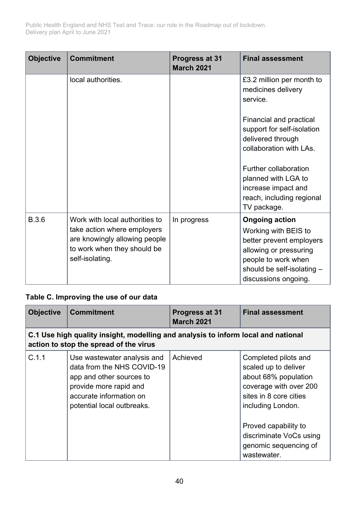| <b>Objective</b> | <b>Commitment</b>                                                                                                                                | Progress at 31<br><b>March 2021</b> | <b>Final assessment</b>                                                                                                                                                          |
|------------------|--------------------------------------------------------------------------------------------------------------------------------------------------|-------------------------------------|----------------------------------------------------------------------------------------------------------------------------------------------------------------------------------|
|                  | local authorities.                                                                                                                               |                                     | £3.2 million per month to<br>medicines delivery<br>service.                                                                                                                      |
|                  |                                                                                                                                                  |                                     | Financial and practical<br>support for self-isolation<br>delivered through<br>collaboration with LAs.                                                                            |
|                  |                                                                                                                                                  |                                     | Further collaboration<br>planned with LGA to<br>increase impact and<br>reach, including regional<br>TV package.                                                                  |
| <b>B.3.6</b>     | Work with local authorities to<br>take action where employers<br>are knowingly allowing people<br>to work when they should be<br>self-isolating. | In progress                         | <b>Ongoing action</b><br>Working with BEIS to<br>better prevent employers<br>allowing or pressuring<br>people to work when<br>should be self-isolating -<br>discussions ongoing. |

#### **Table C. Improving the use of our data**

| <b>Objective</b> | <b>Commitment</b>                                                                                                                                                        | Progress at 31<br><b>March 2021</b> | <b>Final assessment</b>                                                                                                                       |  |
|------------------|--------------------------------------------------------------------------------------------------------------------------------------------------------------------------|-------------------------------------|-----------------------------------------------------------------------------------------------------------------------------------------------|--|
|                  | C.1 Use high quality insight, modelling and analysis to inform local and national<br>action to stop the spread of the virus                                              |                                     |                                                                                                                                               |  |
| C.1.1            | Use wastewater analysis and<br>data from the NHS COVID-19<br>app and other sources to<br>provide more rapid and<br>accurate information on<br>potential local outbreaks. | Achieved                            | Completed pilots and<br>scaled up to deliver<br>about 68% population<br>coverage with over 200<br>sites in 8 core cities<br>including London. |  |
|                  |                                                                                                                                                                          |                                     | Proved capability to<br>discriminate VoCs using<br>genomic sequencing of<br>wastewater.                                                       |  |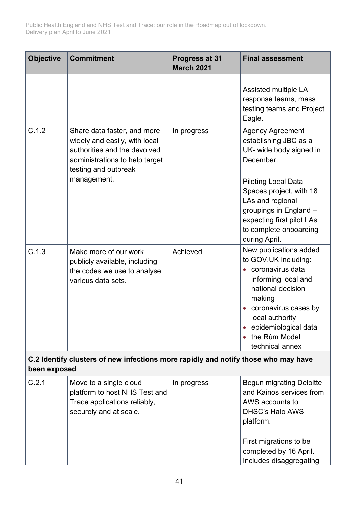| <b>Objective</b>                                                                                   | <b>Commitment</b>                                                                                                                                                     | Progress at 31<br><b>March 2021</b> | <b>Final assessment</b>                                                                                                                                                                                                                                                 |
|----------------------------------------------------------------------------------------------------|-----------------------------------------------------------------------------------------------------------------------------------------------------------------------|-------------------------------------|-------------------------------------------------------------------------------------------------------------------------------------------------------------------------------------------------------------------------------------------------------------------------|
|                                                                                                    |                                                                                                                                                                       |                                     | Assisted multiple LA<br>response teams, mass<br>testing teams and Project<br>Eagle.                                                                                                                                                                                     |
| C.1.2                                                                                              | Share data faster, and more<br>widely and easily, with local<br>authorities and the devolved<br>administrations to help target<br>testing and outbreak<br>management. | In progress                         | <b>Agency Agreement</b><br>establishing JBC as a<br>UK- wide body signed in<br>December.<br><b>Piloting Local Data</b><br>Spaces project, with 18<br>LAs and regional<br>groupings in England -<br>expecting first pilot LAs<br>to complete onboarding<br>during April. |
| C.1.3                                                                                              | Make more of our work<br>publicly available, including<br>the codes we use to analyse<br>various data sets.                                                           | Achieved                            | New publications added<br>to GOV.UK including:<br>coronavirus data<br>informing local and<br>national decision<br>making<br>coronavirus cases by<br>local authority<br>epidemiological data<br>the Rùm Model<br>technical annex                                         |
| C.2 Identify clusters of new infections more rapidly and notify those who may have<br>been exposed |                                                                                                                                                                       |                                     |                                                                                                                                                                                                                                                                         |
| C.2.1                                                                                              | Move to a single cloud<br>platform to host NHS Test and<br>Trace applications reliably,<br>securely and at scale.                                                     | In progress                         | <b>Begun migrating Deloitte</b><br>and Kainos services from<br>AWS accounts to<br><b>DHSC's Halo AWS</b><br>platform.<br>First migrations to be<br>completed by 16 April.<br>Includes disaggregating                                                                    |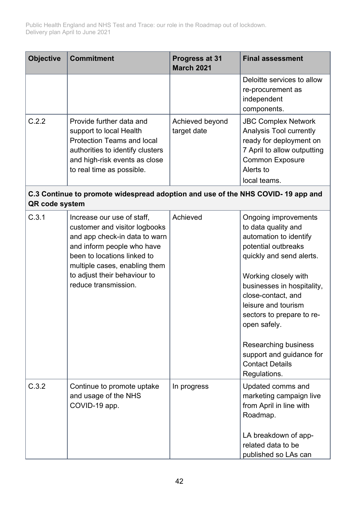| <b>Objective</b> | <b>Commitment</b>                                                                                                                                                                                                                                  | Progress at 31<br><b>March 2021</b> | <b>Final assessment</b>                                                                                                                                                                                                                                                                                                                                                |
|------------------|----------------------------------------------------------------------------------------------------------------------------------------------------------------------------------------------------------------------------------------------------|-------------------------------------|------------------------------------------------------------------------------------------------------------------------------------------------------------------------------------------------------------------------------------------------------------------------------------------------------------------------------------------------------------------------|
|                  |                                                                                                                                                                                                                                                    |                                     | Deloitte services to allow<br>re-procurement as<br>independent<br>components.                                                                                                                                                                                                                                                                                          |
| C.2.2            | Provide further data and<br>support to local Health<br><b>Protection Teams and local</b><br>authorities to identify clusters<br>and high-risk events as close<br>to real time as possible.                                                         | Achieved beyond<br>target date      | <b>JBC Complex Network</b><br>Analysis Tool currently<br>ready for deployment on<br>7 April to allow outputting<br><b>Common Exposure</b><br>Alerts to<br>local teams.                                                                                                                                                                                                 |
| QR code system   | C.3 Continue to promote widespread adoption and use of the NHS COVID-19 app and                                                                                                                                                                    |                                     |                                                                                                                                                                                                                                                                                                                                                                        |
| C.3.1            | Increase our use of staff,<br>customer and visitor logbooks<br>and app check-in data to warn<br>and inform people who have<br>been to locations linked to<br>multiple cases, enabling them<br>to adjust their behaviour to<br>reduce transmission. | Achieved                            | Ongoing improvements<br>to data quality and<br>automation to identify<br>potential outbreaks<br>quickly and send alerts.<br>Working closely with<br>businesses in hospitality,<br>close-contact, and<br>leisure and tourism<br>sectors to prepare to re-<br>open safely.<br>Researching business<br>support and guidance for<br><b>Contact Details</b><br>Regulations. |
| C.3.2            | Continue to promote uptake<br>and usage of the NHS<br>COVID-19 app.                                                                                                                                                                                | In progress                         | Updated comms and<br>marketing campaign live<br>from April in line with<br>Roadmap.<br>LA breakdown of app-<br>related data to be<br>published so LAs can                                                                                                                                                                                                              |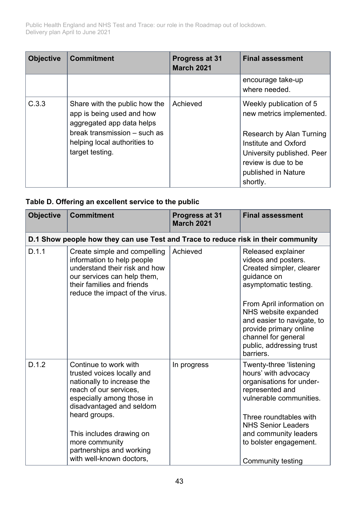| <b>Objective</b> | <b>Commitment</b>                                                                                                                                                          | Progress at 31<br><b>March 2021</b> | <b>Final assessment</b>                                                                                                                                                                         |
|------------------|----------------------------------------------------------------------------------------------------------------------------------------------------------------------------|-------------------------------------|-------------------------------------------------------------------------------------------------------------------------------------------------------------------------------------------------|
|                  |                                                                                                                                                                            |                                     | encourage take-up<br>where needed.                                                                                                                                                              |
| C.3.3            | Share with the public how the<br>app is being used and how<br>aggregated app data helps<br>break transmission - such as<br>helping local authorities to<br>target testing. | Achieved                            | Weekly publication of 5<br>new metrics implemented.<br>Research by Alan Turning<br>Institute and Oxford<br>University published. Peer<br>review is due to be<br>published in Nature<br>shortly. |

#### **Table D. Offering an excellent service to the public**

| <b>Objective</b> | <b>Commitment</b>                                                                                                                                                                           | Progress at 31<br><b>March 2021</b> | <b>Final assessment</b>                                                                                                                                                   |
|------------------|---------------------------------------------------------------------------------------------------------------------------------------------------------------------------------------------|-------------------------------------|---------------------------------------------------------------------------------------------------------------------------------------------------------------------------|
|                  | D.1 Show people how they can use Test and Trace to reduce risk in their community                                                                                                           |                                     |                                                                                                                                                                           |
| D.1.1            | Create simple and compelling<br>information to help people<br>understand their risk and how<br>our services can help them,<br>their families and friends<br>reduce the impact of the virus. | Achieved                            | Released explainer<br>videos and posters.<br>Created simpler, clearer<br>guidance on<br>asymptomatic testing.                                                             |
|                  |                                                                                                                                                                                             |                                     | From April information on<br>NHS website expanded<br>and easier to navigate, to<br>provide primary online<br>channel for general<br>public, addressing trust<br>barriers. |
| D.1.2            | Continue to work with<br>trusted voices locally and<br>nationally to increase the<br>reach of our services,<br>especially among those in<br>disadvantaged and seldom                        | In progress                         | Twenty-three 'listening<br>hours' with advocacy<br>organisations for under-<br>represented and<br>vulnerable communities.                                                 |
|                  | heard groups.<br>This includes drawing on<br>more community<br>partnerships and working<br>with well-known doctors,                                                                         |                                     | Three roundtables with<br><b>NHS Senior Leaders</b><br>and community leaders<br>to bolster engagement.<br><b>Community testing</b>                                        |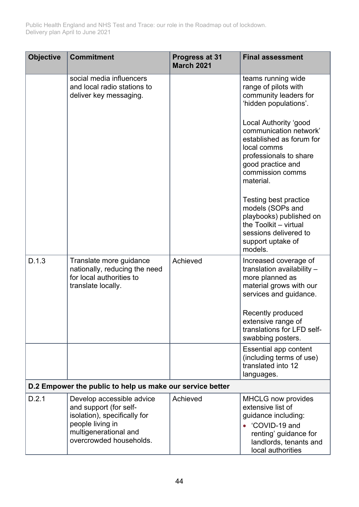| <b>Objective</b> | <b>Commitment</b>                                                                                                                                           | Progress at 31<br><b>March 2021</b> | <b>Final assessment</b>                                                                                                                                                    |
|------------------|-------------------------------------------------------------------------------------------------------------------------------------------------------------|-------------------------------------|----------------------------------------------------------------------------------------------------------------------------------------------------------------------------|
|                  | social media influencers<br>and local radio stations to<br>deliver key messaging.                                                                           |                                     | teams running wide<br>range of pilots with<br>community leaders for<br>'hidden populations'.                                                                               |
|                  |                                                                                                                                                             |                                     | Local Authority 'good<br>communication network'<br>established as forum for<br>local comms<br>professionals to share<br>good practice and<br>commission comms<br>material. |
|                  |                                                                                                                                                             |                                     | Testing best practice<br>models (SOPs and<br>playbooks) published on<br>the Toolkit - virtual<br>sessions delivered to<br>support uptake of<br>models.                     |
| D.1.3            | Translate more guidance<br>nationally, reducing the need<br>for local authorities to<br>translate locally.                                                  | Achieved                            | Increased coverage of<br>translation availability -<br>more planned as<br>material grows with our<br>services and guidance.                                                |
|                  |                                                                                                                                                             |                                     | Recently produced<br>extensive range of<br>translations for LFD self-<br>swabbing posters.                                                                                 |
|                  |                                                                                                                                                             |                                     | Essential app content<br>(including terms of use)<br>translated into 12<br>languages.                                                                                      |
|                  | D.2 Empower the public to help us make our service better                                                                                                   |                                     |                                                                                                                                                                            |
| D.2.1            | Develop accessible advice<br>and support (for self-<br>isolation), specifically for<br>people living in<br>multigenerational and<br>overcrowded households. | Achieved                            | <b>MHCLG</b> now provides<br>extensive list of<br>guidance including:<br>'COVID-19 and<br>renting' guidance for<br>landlords, tenants and<br>local authorities             |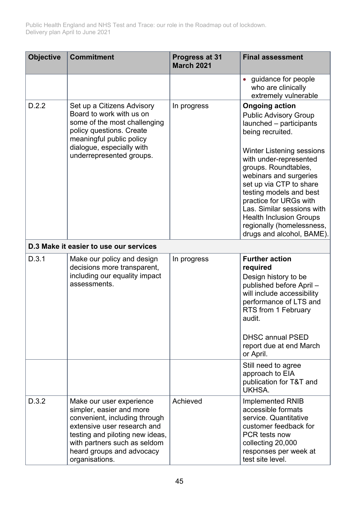| <b>Objective</b> | <b>Commitment</b>                                                                                                                                                                                                                      | Progress at 31<br><b>March 2021</b> | <b>Final assessment</b>                                                                                                                                                                                                                                                                                                                                                                                                        |
|------------------|----------------------------------------------------------------------------------------------------------------------------------------------------------------------------------------------------------------------------------------|-------------------------------------|--------------------------------------------------------------------------------------------------------------------------------------------------------------------------------------------------------------------------------------------------------------------------------------------------------------------------------------------------------------------------------------------------------------------------------|
|                  |                                                                                                                                                                                                                                        |                                     | guidance for people<br>who are clinically<br>extremely vulnerable                                                                                                                                                                                                                                                                                                                                                              |
| D.2.2            | Set up a Citizens Advisory<br>Board to work with us on<br>some of the most challenging<br>policy questions. Create<br>meaningful public policy<br>dialogue, especially with<br>underrepresented groups.                                | In progress                         | <b>Ongoing action</b><br><b>Public Advisory Group</b><br>launched - participants<br>being recruited.<br><b>Winter Listening sessions</b><br>with under-represented<br>groups. Roundtables,<br>webinars and surgeries<br>set up via CTP to share<br>testing models and best<br>practice for URGs with<br>Las. Similar sessions with<br><b>Health Inclusion Groups</b><br>regionally (homelessness,<br>drugs and alcohol, BAME). |
|                  | D.3 Make it easier to use our services                                                                                                                                                                                                 |                                     |                                                                                                                                                                                                                                                                                                                                                                                                                                |
| D.3.1            | Make our policy and design<br>decisions more transparent,<br>including our equality impact<br>assessments.                                                                                                                             | In progress                         | <b>Further action</b><br>required<br>Design history to be<br>published before April-<br>will include accessibility<br>performance of LTS and<br>RTS from 1 February<br>audit.<br><b>DHSC annual PSED</b><br>report due at end March<br>or April.                                                                                                                                                                               |
|                  |                                                                                                                                                                                                                                        |                                     | Still need to agree<br>approach to EIA<br>publication for T&T and<br>UKHSA.                                                                                                                                                                                                                                                                                                                                                    |
| D.3.2            | Make our user experience<br>simpler, easier and more<br>convenient, including through<br>extensive user research and<br>testing and piloting new ideas,<br>with partners such as seldom<br>heard groups and advocacy<br>organisations. | Achieved                            | Implemented RNIB<br>accessible formats<br>service. Quantitative<br>customer feedback for<br><b>PCR</b> tests now<br>collecting 20,000<br>responses per week at<br>test site level.                                                                                                                                                                                                                                             |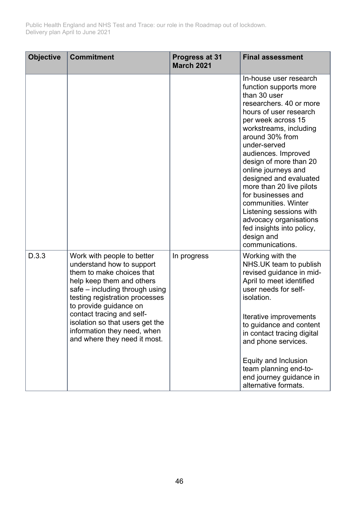| <b>Objective</b> | <b>Commitment</b>                                                                                                                                                                                                                                                                                                                              | Progress at 31<br><b>March 2021</b> | <b>Final assessment</b>                                                                                                                                                                                                                                                                                                                                                                                                                                                                                |
|------------------|------------------------------------------------------------------------------------------------------------------------------------------------------------------------------------------------------------------------------------------------------------------------------------------------------------------------------------------------|-------------------------------------|--------------------------------------------------------------------------------------------------------------------------------------------------------------------------------------------------------------------------------------------------------------------------------------------------------------------------------------------------------------------------------------------------------------------------------------------------------------------------------------------------------|
|                  |                                                                                                                                                                                                                                                                                                                                                |                                     | In-house user research<br>function supports more<br>than 30 user<br>researchers, 40 or more<br>hours of user research<br>per week across 15<br>workstreams, including<br>around 30% from<br>under-served<br>audiences. Improved<br>design of more than 20<br>online journeys and<br>designed and evaluated<br>more than 20 live pilots<br>for businesses and<br>communities. Winter<br>Listening sessions with<br>advocacy organisations<br>fed insights into policy,<br>design and<br>communications. |
| D.3.3            | Work with people to better<br>understand how to support<br>them to make choices that<br>help keep them and others<br>safe – including through using<br>testing registration processes<br>to provide guidance on<br>contact tracing and self-<br>isolation so that users get the<br>information they need, when<br>and where they need it most. | In progress                         | Working with the<br>NHS.UK team to publish<br>revised guidance in mid-<br>April to meet identified<br>user needs for self-<br>isolation.<br>Iterative improvements<br>to guidance and content<br>in contact tracing digital<br>and phone services.<br>Equity and Inclusion<br>team planning end-to-<br>end journey guidance in<br>alternative formats.                                                                                                                                                 |